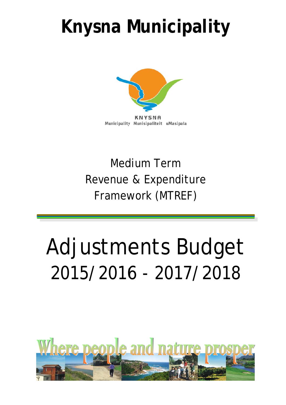## **Knysna Municipality**



## Revenue & Expenditure Framework (MTREF) Medium Term

# Adjustments Budget 2015/2016 - 2017/2018

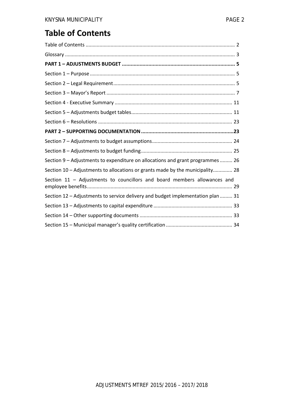## **Table of Contents**

| Section 9 - Adjustments to expenditure on allocations and grant programmes  26  |
|---------------------------------------------------------------------------------|
| Section 10 - Adjustments to allocations or grants made by the municipality 28   |
| Section 11 - Adjustments to councillors and board members allowances and        |
| Section 12 - Adjustments to service delivery and budget implementation plan  31 |
|                                                                                 |
|                                                                                 |
|                                                                                 |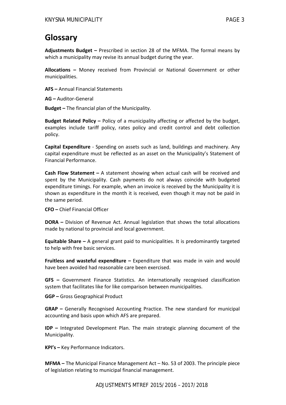## **Glossary**

**Adjustments Budget –** Prescribed in section 28 of the MFMA. The formal means by which a municipality may revise its annual budget during the year.

**Allocations –** Money received from Provincial or National Government or other municipalities.

**AFS –** Annual Financial Statements

**AG –** Auditor‐General

**Budget –** The financial plan of the Municipality.

**Budget Related Policy –** Policy of a municipality affecting or affected by the budget, examples include tariff policy, rates policy and credit control and debt collection policy.

**Capital Expenditure** ‐ Spending on assets such as land, buildings and machinery. Any capital expenditure must be reflected as an asset on the Municipality's Statement of Financial Performance.

**Cash Flow Statement –** A statement showing when actual cash will be received and spent by the Municipality. Cash payments do not always coincide with budgeted expenditure timings. For example, when an invoice is received by the Municipality it is shown as expenditure in the month it is received, even though it may not be paid in the same period.

**CFO –** Chief Financial Officer

**DORA –** Division of Revenue Act. Annual legislation that shows the total allocations made by national to provincial and local government.

**Equitable Share –** A general grant paid to municipalities. It is predominantly targeted to help with free basic services.

**Fruitless and wasteful expenditure –** Expenditure that was made in vain and would have been avoided had reasonable care been exercised.

**GFS –** Government Finance Statistics. An internationally recognised classification system that facilitates like for like comparison between municipalities.

**GGP –** Gross Geographical Product

**GRAP –** Generally Recognised Accounting Practice. The new standard for municipal accounting and basis upon which AFS are prepared.

**IDP –** Integrated Development Plan. The main strategic planning document of the Municipality.

**KPI's –** Key Performance Indicators.

**MFMA –** The Municipal Finance Management Act – No. 53 of 2003. The principle piece of legislation relating to municipal financial management.

ADJUSTMENTS MTREF 2015/2016 – 2017/2018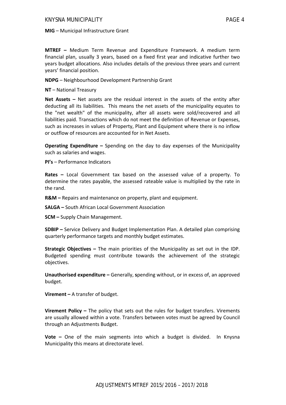**MIG** – Municipal Infrastructure Grant

**MTREF –** Medium Term Revenue and Expenditure Framework. A medium term financial plan, usually 3 years, based on a fixed first year and indicative further two years budget allocations. Also includes details of the previous three years and current years' financial position.

**NDPG** – Neighbourhood Development Partnership Grant

**NT** – National Treasury

**Net Assets –** Net assets are the residual interest in the assets of the entity after deducting all its liabilities. This means the net assets of the municipality equates to the "net wealth" of the municipality, after all assets were sold/recovered and all liabilities paid. Transactions which do not meet the definition of Revenue or Expenses, such as increases in values of Property, Plant and Equipment where there is no inflow or outflow of resources are accounted for in Net Assets.

**Operating Expenditure –** Spending on the day to day expenses of the Municipality such as salaries and wages.

**PI's** – Performance Indicators

**Rates –** Local Government tax based on the assessed value of a property. To determine the rates payable, the assessed rateable value is multiplied by the rate in the rand.

**R&M** – Repairs and maintenance on property, plant and equipment.

**SALGA –** South African Local Government Association

**SCM –** Supply Chain Management.

**SDBIP –** Service Delivery and Budget Implementation Plan. A detailed plan comprising quarterly performance targets and monthly budget estimates.

**Strategic Objectives –** The main priorities of the Municipality as set out in the IDP. Budgeted spending must contribute towards the achievement of the strategic objectives.

**Unauthorised expenditure –** Generally, **s**pending without, or in excess of, an approved budget.

**Virement –** A transfer of budget.

**Virement Policy –** The policy that sets out the rules for budget transfers. Virements are usually allowed within a vote. Transfers between votes must be agreed by Council through an Adjustments Budget.

**Vote –** One of the main segments into which a budget is divided. In Knysna Municipality this means at directorate level.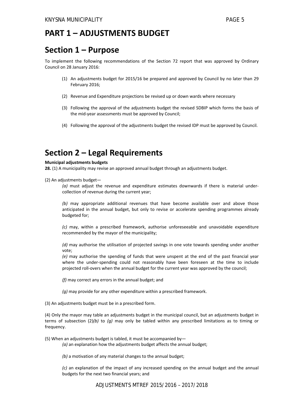## **PART 1 – ADJUSTMENTS BUDGET**

## **Section 1 – Purpose**

To implement the following recommendations of the Section 72 report that was approved by Ordinary Council on 28 January 2016:

- (1) An adjustments budget for 2015/16 be prepared and approved by Council by no later than 29 February 2016;
- (2) Revenue and Expenditure projections be revised up or down wards where necessary
- (3) Following the approval of the adjustments budget the revised SDBIP which forms the basis of the mid‐year assessments must be approved by Council;
- (4) Following the approval of the adjustments budget the revised IDP must be approved by Council.

## **Section 2 – Legal Requirements**

#### **Municipal adjustments budgets**

**28.** (1) A municipality may revise an approved annual budget through an adjustments budget.

(2) An adjustments budget—

*(a)* must adjust the revenue and expenditure estimates downwards if there is material under‐ collection of revenue during the current year;

*(b)* may appropriate additional revenues that have become available over and above those anticipated in the annual budget, but only to revise or accelerate spending programmes already budgeted for;

*(c)* may, within a prescribed framework, authorise unforeseeable and unavoidable expenditure recommended by the mayor of the municipality;

*(d)* may authorise the utilisation of projected savings in one vote towards spending under another vote;

*(e)* may authorise the spending of funds that were unspent at the end of the past financial year where the under-spending could not reasonably have been foreseen at the time to include projected roll-overs when the annual budget for the current year was approved by the council;

*(f)* may correct any errors in the annual budget; and

*(g)* may provide for any other expenditure within a prescribed framework.

(3) An adjustments budget must be in a prescribed form.

(4) Only the mayor may table an adjustments budget in the municipal council, but an adjustments budget in terms of subsection (2)*(b)* to *(g)* may only be tabled within any prescribed limitations as to timing or frequency.

(5) When an adjustments budget is tabled, it must be accompanied by—

*(a)* an explanation how the adjustments budget affects the annual budget;

*(b)* a motivation of any material changes to the annual budget;

*(c)* an explanation of the impact of any increased spending on the annual budget and the annual budgets for the next two financial years; and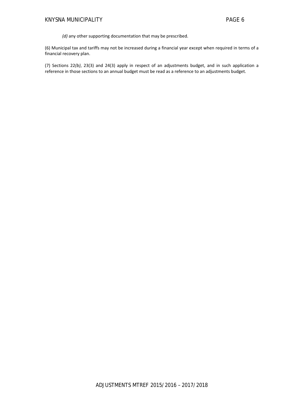*(d)* any other supporting documentation that may be prescribed.

(6) Municipal tax and tariffs may not be increased during a financial year except when required in terms of a financial recovery plan.

(7) Sections 22*(b)*, 23(3) and 24(3) apply in respect of an adjustments budget, and in such application a reference in those sections to an annual budget must be read as a reference to an adjustments budget.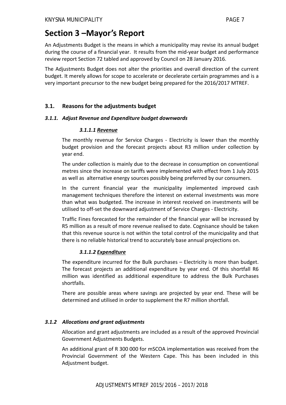## **Section 3 –Mayor's Report**

An Adjustments Budget is the means in which a municipality may revise its annual budget during the course of a financial year. It results from the mid‐year budget and performance review report Section 72 tabled and approved by Council on 28 January 2016.

The Adjustments Budget does not alter the priorities and overall direction of the current budget. It merely allows for scope to accelerate or decelerate certain programmes and is a very important precursor to the new budget being prepared for the 2016/2017 MTREF.

#### **3.1. Reasons for the adjustments budget**

#### *3.1.1. Adjust Revenue and Expenditure budget downwards*

#### *3.1.1.1 Revenue*

The monthly revenue for Service Charges - Electricity is lower than the monthly budget provision and the forecast projects about R3 million under collection by year end.

The under collection is mainly due to the decrease in consumption on conventional metres since the increase on tariffs were implemented with effect from 1 July 2015 as well as alternative energy sources possibly being preferred by our consumers.

In the current financial year the municipality implemented improved cash management techniques therefore the interest on external investments was more than what was budgeted. The increase in interest received on investments will be utilised to off‐set the downward adjustment of Service Charges ‐ Electricity.

Traffic Fines forecasted for the remainder of the financial year will be increased by R5 million as a result of more revenue realised to date. Cognisance should be taken that this revenue source is not within the total control of the municipality and that there is no reliable historical trend to accurately base annual projections on.

#### *3.1.1.2 Expenditure*

The expenditure incurred for the Bulk purchases – Electricity is more than budget. The forecast projects an additional expenditure by year end. Of this shortfall R6 million was identified as additional expenditure to address the Bulk Purchases shortfalls.

There are possible areas where savings are projected by year end. These will be determined and utilised in order to supplement the R7 million shortfall.

#### *3.1.2 Allocations and grant adjustments*

Allocation and grant adjustments are included as a result of the approved Provincial Government Adjustments Budgets.

An additional grant of R 300 000 for mSCOA implementation was received from the Provincial Government of the Western Cape. This has been included in this Adjustment budget.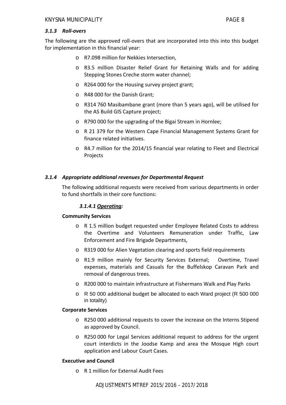#### *3.1.3 Roll‐overs*

The following are the approved roll-overs that are incorporated into this into this budget for implementation in this financial year:

- o R7.098 million for Nekkies Intersection,
- o R3.5 million Disaster Relief Grant for Retaining Walls and for adding Stepping Stones Creche storm water channel;
- o R264 000 for the Housing survey project grant;
- o R48 000 for the Danish Grant;
- o R314 760 Masibambane grant (more than 5 years ago), will be utilised for the AS Build GIS Capture project;
- o R790 000 for the upgrading of the Bigai Stream in Hornlee;
- o R 21 379 for the Western Cape Financial Management Systems Grant for finance related initiatives.
- o R4.7 million for the 2014/15 financial year relating to Fleet and Electrical Projects

#### *3.1.4 Appropriate additional revenues for Departmental Request*

The following additional requests were received from various departments in order to fund shortfalls in their core functions:

#### *3.1.4.1 Operating:*

#### **Community Services**

- o R 1.5 million budget requested under Employee Related Costs to address the Overtime and Volunteers Remuneration under Traffic, Law Enforcement and Fire Brigade Departments,
- o R319 000 for Alien Vegetation clearing and sports field requirements
- o R1.9 million mainly for Security Services External; Overtime, Travel expenses, materials and Casuals for the Buffelskop Caravan Park and removal of dangerous trees.
- o R200 000 to maintain infrastructure at Fishermans Walk and Play Parks
- o R 50 000 additional budget be allocated to each Ward project (R 500 000 in totality)

#### **Corporate Services**

- o R250 000 additional requests to cover the increase on the Interns Stipend as approved by Council.
- o R250 000 for Legal Services additional request to address for the urgent court interdicts in the Joodse Kamp and area the Mosque High court application and Labour Court Cases.

#### **Executive and Council**

o R 1 million for External Audit Fees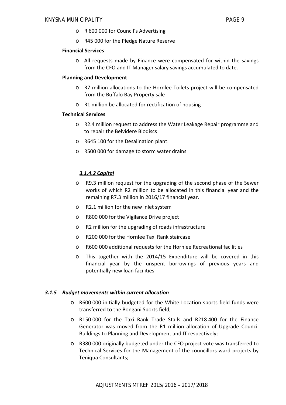- o R 600 000 for Council's Advertising
- o R45 000 for the Pledge Nature Reserve

#### **Financial Services**

o All requests made by Finance were compensated for within the savings from the CFO and IT Manager salary savings accumulated to date.

#### **Planning and Development**

- o R7 million allocations to the Hornlee Toilets project will be compensated from the Buffalo Bay Property sale
- o R1 million be allocated for rectification of housing

#### **Technical Services**

- o R2.4 million request to address the Water Leakage Repair programme and to repair the Belvidere Biodiscs
- o R645 100 for the Desalination plant.
- o R500 000 for damage to storm water drains

#### *3.1.4.2 Capital*

- o R9.3 million request for the upgrading of the second phase of the Sewer works of which R2 million to be allocated in this financial year and the remaining R7.3 million in 2016/17 financial year.
- o R2.1 million for the new inlet system
- o R800 000 for the Vigilance Drive project
- o R2 million for the upgrading of roads infrastructure
- o R200 000 for the Hornlee Taxi Rank staircase
- o R600 000 additional requests for the Hornlee Recreational facilities
- o This together with the 2014/15 Expenditure will be covered in this financial year by the unspent borrowings of previous years and potentially new loan facilities

#### *3.1.5 Budget movements within current allocation*

- o R600 000 initially budgeted for the White Location sports field funds were transferred to the Bongani Sports field,
- o R150 000 for the Taxi Rank Trade Stalls and R218 400 for the Finance Generator was moved from the R1 million allocation of Upgrade Council Buildings to Planning and Development and IT respectively;
- o R380 000 originally budgeted under the CFO project vote was transferred to Technical Services for the Management of the councillors ward projects by Teniqua Consultants;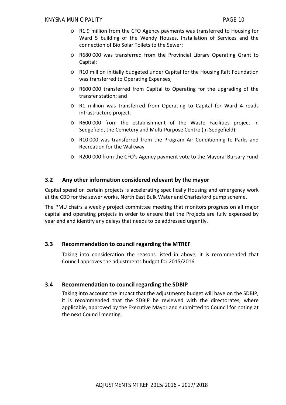- o R1.9 million from the CFO Agency payments was transferred to Housing for Ward 5 building of the Wendy Houses, Installation of Services and the connection of Bio Solar Toilets to the Sewer;
- o R680 000 was transferred from the Provincial Library Operating Grant to Capital;
- o R10 million initially budgeted under Capital for the Housing Raft Foundation was transferred to Operating Expenses;
- o R600 000 transferred from Capital to Operating for the upgrading of the transfer station; and
- o R1 million was transferred from Operating to Capital for Ward 4 roads infrastructure project.
- o R600 000 from the establishment of the Waste Facilities project in Sedgefield, the Cemetery and Multi‐Purpose Centre (in Sedgefield);
- o R10 000 was transferred from the Program Air Conditioning to Parks and Recreation for the Walkway
- o R200 000 from the CFO's Agency payment vote to the Mayoral Bursary Fund

#### **3.2 Any other information considered relevant by the mayor**

Capital spend on certain projects is accelerating specifically Housing and emergency work at the CBD for the sewer works, North East Bulk Water and Charlesford pump scheme.

The PMU chairs a weekly project committee meeting that monitors progress on all major capital and operating projects in order to ensure that the Projects are fully expensed by year end and identify any delays that needs to be addressed urgently.

#### **3.3 Recommendation to council regarding the MTREF**

Taking into consideration the reasons listed in above, it is recommended that Council approves the adjustments budget for 2015/2016.

#### **3.4 Recommendation to council regarding the SDBIP**

Taking into account the impact that the adjustments budget will have on the SDBIP, it is recommended that the SDBIP be reviewed with the directorates, where applicable, approved by the Executive Mayor and submitted to Council for noting at the next Council meeting.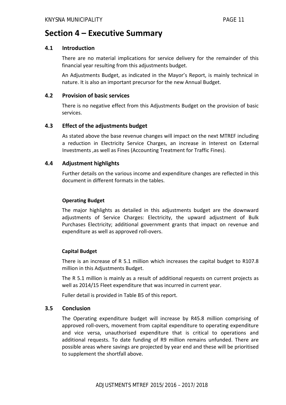## **Section 4 – Executive Summary**

#### **4.1 Introduction**

There are no material implications for service delivery for the remainder of this financial year resulting from this adjustments budget.

An Adjustments Budget, as indicated in the Mayor's Report, is mainly technical in nature. It is also an important precursor for the new Annual Budget.

#### **4.2 Provision of basic services**

There is no negative effect from this Adjustments Budget on the provision of basic services.

#### **4.3 Effect of the adjustments budget**

As stated above the base revenue changes will impact on the next MTREF including a reduction in Electricity Service Charges, an increase in Interest on External Investments ,as well as Fines (Accounting Treatment for Traffic Fines).

#### **4.4 Adjustment highlights**

Further details on the various income and expenditure changes are reflected in this document in different formats in the tables.

#### **Operating Budget**

The major highlights as detailed in this adjustments budget are the downward adjustments of Service Charges: Electricity, the upward adjustment of Bulk Purchases Electricity; additional government grants that impact on revenue and expenditure as well as approved roll‐overs.

#### **Capital Budget**

There is an increase of R 5.1 million which increases the capital budget to R107.8 million in this Adjustments Budget.

The R 5.1 million is mainly as a result of additional requests on current projects as well as 2014/15 Fleet expenditure that was incurred in current year.

Fuller detail is provided in Table B5 of this report.

#### **3.5 Conclusion**

The Operating expenditure budget will increase by R45.8 million comprising of approved roll‐overs, movement from capital expenditure to operating expenditure and vice versa, unauthorised expenditure that is critical to operations and additional requests. To date funding of R9 million remains unfunded. There are possible areas where savings are projected by year end and these will be prioritised to supplement the shortfall above.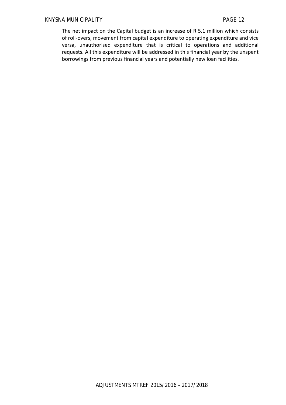The net impact on the Capital budget is an increase of R 5.1 million which consists of roll‐overs, movement from capital expenditure to operating expenditure and vice versa, unauthorised expenditure that is critical to operations and additional requests. All this expenditure will be addressed in this financial year by the unspent borrowings from previous financial years and potentially new loan facilities.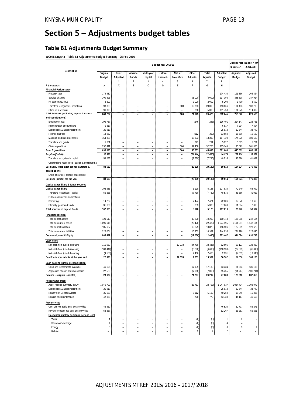## **Section 5 – Adjustments budget tables**

### **Table B1 Adjustments Budget Summary**

**WC048 Knysna - Table B1 Adjustments Budget Summary - 25 Feb 2016**

|                                                    |                |                          |                          |                | Budget Year 2015/16      |                              |                          |                   |                | +1 2016/17     | Budget Year Budget Year<br>+2 2017/18 |
|----------------------------------------------------|----------------|--------------------------|--------------------------|----------------|--------------------------|------------------------------|--------------------------|-------------------|----------------|----------------|---------------------------------------|
| Description                                        | Original       | Prior                    | Accum.                   | Multi-year     | Unfore.                  | Nat. or                      | Other                    | Total             | Adjusted       | Adjusted       | Adjusted                              |
|                                                    | <b>Budget</b>  | Adjusted                 | Funds                    | capital        | Unavoid.                 | Prov. Govt                   | Adjusts.                 | Adjusts.          | <b>Budget</b>  | <b>Budget</b>  | Budget                                |
|                                                    |                | 1                        | $\overline{2}$           | 3              | $\overline{4}$           | 5                            | 6                        | 7                 | 8              |                |                                       |
| R thousands                                        | Α              | A1                       | B                        | C              | D                        | E                            | F                        | G                 | Η              |                |                                       |
| <b>Financial Performance</b>                       |                |                          |                          |                |                          |                              |                          |                   |                |                |                                       |
| Property rates                                     | 174 430        |                          |                          |                |                          |                              |                          | ÷,                | 174 430        | 191 866        | 205 364                               |
| Service charges                                    | 300 395        |                          |                          |                | L                        |                              | (3000)                   | (3000)            | 297 395        | 348 898        | 387 924                               |
| Investment revenue                                 | 3 2 0 0        |                          |                          |                |                          |                              | 2 0 0 0                  | 2 0 0 0           | 5 200          | 3 4 0 0        | 3 600                                 |
| Transfers recognised - operational                 | 93 803         | L                        | ÷                        | ٠              | $\overline{a}$           | 300                          | 19 763                   | 20 063            | 113 866        | 104 483        | 108 783                               |
| Other own revenue                                  | 96 393         | ۰                        | ٠                        | ÷              | ۰                        | ٠                            | 5 3 6 0                  | 5 3 6 0           | 101 753        | 104 973        | 114 889                               |
| Total Revenue (excluding capital transfers         | 668 222        | $\overline{a}$           | $\overline{a}$           | $\overline{a}$ | $\overline{a}$           | 300                          | 24 123                   | 24 423            | 692 645        | 753 620        | 820 560                               |
| and contributions)                                 |                |                          |                          |                |                          |                              |                          |                   |                |                |                                       |
| Employee costs                                     | 196 737        | $\overline{a}$           | ÷,                       | ÷              | ÷                        | $\overline{a}$               | (246)                    | (246)             | 196 491        | 214 147        | 228 781                               |
| Remuneration of councillors                        | 6817           | L,                       | ÷,                       | ÷              | L,                       | ٠                            | ۰                        | $\qquad \qquad -$ | 6817           | 7 2 9 4        | 7804                                  |
| Depreciation & asset impairment                    | 25 918         |                          |                          |                |                          |                              |                          | ÷,                | 25 918         | 32 544         | 34 749                                |
| Finance charges                                    | 13 962         |                          |                          |                | ÷                        | ÷                            | (312)                    | (312)             | 13 650         | 15 5 86        | 16 520                                |
| Materials and bulk purchases                       | 154 328        | L                        |                          |                | L,                       | L,                           | 13 393                   | 13 393            | 167 720        | 174 825        | 189 690                               |
| Transfers and grants                               | 5 6 3 1        |                          |                          |                |                          |                              | 291                      | 291               | 5 9 2 2        | 5 6 6 5        | 5 7 8 1                               |
| Other ex penditure                                 | 232 441        | L,                       | $\overline{a}$           | ÷              | $\overline{a}$           | 300                          | 32 408                   | 32 708            | 265 149        | 195 822        | 201 865                               |
| <b>Total Expenditure</b>                           | 635 833        | $\overline{a}$           | $\overline{\phantom{m}}$ | $\overline{a}$ | $\overline{\phantom{a}}$ | 300                          | 45 533                   | 45 833            | 681 666        | 645 882        | 685 191                               |
| Surplus/(Deficit)                                  | 32 388         | $\overline{a}$           | $\overline{\phantom{a}}$ | $\overline{a}$ | $\overline{\phantom{0}}$ | $\qquad \qquad \blacksquare$ | (21 410)                 | (21 410)          | 10 979         | 107 738        | 135 369                               |
| Transfers recognised - capital                     | 56 265         |                          | L.                       | ÷              | L,                       |                              | (7730)                   | (7730)            | 48 535         | 46 586         | 41 027                                |
| Contributions recognised - capital & contributed a |                |                          |                          |                | L                        |                              |                          |                   |                |                |                                       |
| Surplus/(Deficit) after capital transfers &        | 88 653         | $\overline{a}$           | $\overline{\phantom{a}}$ | $\overline{a}$ | $\overline{\phantom{a}}$ | $\overline{a}$               | (29139)                  | (29139)           | 59 514         | 154 324        | 176 396                               |
| contributions                                      |                |                          |                          |                |                          |                              |                          |                   |                |                |                                       |
| Share of surplus/ (deficit) of associate           | $\overline{a}$ | $\overline{a}$           | $\overline{a}$           | $\overline{a}$ | $\overline{\phantom{a}}$ | $\overline{a}$               | $\overline{a}$           | $\overline{a}$    | $\overline{a}$ | $\overline{a}$ |                                       |
| Surplus/ (Deficit) for the year                    | 88 653         | $\overline{a}$           | $\overline{a}$           | $\overline{a}$ | $\overline{a}$           | $\frac{1}{2}$                | (29139)                  | (29139)           | 59 514         | 154 324        | 176 396                               |
| Capital expenditure & funds sources                |                |                          |                          |                |                          |                              |                          |                   |                |                |                                       |
| Capital expenditure                                | 102 683        |                          |                          |                | ۳                        |                              | 5 1 2 8                  | 5 1 2 8           | 107 810        | 70 240         | 58 992                                |
| Transfers recognised - capital                     | 56 265         |                          |                          |                |                          | L.                           | (7730)                   | (7730)            | 48 535         | 46 586         | 41 027                                |
| Public contributions & donations                   |                |                          |                          |                |                          |                              |                          |                   |                |                |                                       |
| Borrow ing                                         | 14 732         |                          |                          |                | L,                       | ÷,                           | 7 4 7 4                  | 7 4 7 4           | 22 206         | 12 570         | 10 660                                |
| Internally generated funds                         | 31 686         | $\overline{a}$           | ۰                        | ÷              | L,                       | $\overline{a}$               | 5 3 8 3                  | 5 3 8 3           | 37 069         | 11 084         | 7 3 0 5                               |
| Total sources of capital funds                     | 102 683        | $\overline{a}$           | $\overline{a}$           | $\overline{a}$ | $\overline{a}$           | $\overline{a}$               | 5 1 2 8                  | 5 1 2 8           | 107 810        | 70 240         | 58 992                                |
|                                                    |                |                          |                          |                |                          |                              |                          |                   |                |                |                                       |
| <b>Financial position</b>                          |                |                          |                          |                |                          |                              |                          |                   |                |                |                                       |
| Total current assets                               | 120 513        | L                        |                          |                |                          |                              | 40 200                   | 40 200            | 160 713        | 186 388        | 242 694                               |
| Total non current assets                           | 1 096 615      |                          |                          |                |                          |                              | (22 420)                 | (22 420)          | 1 074 195      | 1 114 891      | 1 142 134                             |
| Total current liabilities                          | 105 627        |                          |                          | ÷              | ÷                        | ÷,                           | 10 879                   | 10 879            | 116 506        | 122 389        | 128 625                               |
| Total non current liabilities                      | 226 004        | $\overline{a}$           | ۰                        | ÷              | L,                       | ÷,                           | 18 9 32                  | 18 9 32           | 244 935        | 234 796        | 225 490                               |
| Community wealth/Equity                            | 885 497        | $\overline{a}$           |                          | $\overline{a}$ | $\overline{a}$           |                              | (12030)                  | (12030)           | 873 467        | 944 094        | 1 030 713                             |
| Cash flows                                         |                |                          |                          |                |                          |                              |                          |                   |                |                |                                       |
| Net cash from (used) operating                     | 115 053        |                          |                          |                | ÷                        | 12 3 3 3                     | (44780)                  | (32446)           | 82 606         | 98 123         | 123 829                               |
| Net cash from (used) investing                     | (103444)       | $\overline{a}$           |                          |                | L,                       |                              | (6690)                   | (6 690)           | (110133)       | (72563)        | (61315)                               |
| Net cash from (used) financing                     | (4536)         |                          |                          |                |                          |                              | 7 4 6 6                  | 7 4 6 6           | 2 9 3 1        | (7333)         | (13940)                               |
| Cash/cash equivalents at the year end              | 22 338         | $\overline{\phantom{0}}$ | $\overline{\phantom{a}}$ | $\overline{a}$ | $\overline{\phantom{a}}$ | 12 3 3 3                     | 1631                     | 13 964            | 36 302         | 54 530         | 103 103                               |
| Cash backing/surplus reconciliation                |                |                          |                          |                |                          |                              |                          |                   |                |                |                                       |
| Cash and investments available                     | 46 195         |                          |                          |                |                          |                              | 17 139                   | 17 139            | 63 334         | 84 563         | 136 136                               |
| Application of cash and investments                | 22 5 23        | ÷,                       |                          | ÷              | ÷                        | ÷,                           | (7068)                   | (7068)            | 15 4 5         | (91747)        | (101 214)                             |
| Balance - surplus (shortfall)                      | 23 672         |                          |                          |                |                          |                              | 24 207                   | 24 207            | 47 880         | 176 310        | 237 350                               |
|                                                    |                |                          |                          |                |                          |                              |                          |                   |                |                |                                       |
| Asset Management                                   |                |                          |                          |                |                          |                              |                          |                   |                |                |                                       |
| Asset register summary (WDV)                       | 1 070 790      |                          |                          |                |                          | ÷                            | (23753)                  | (23753)           | 1 047 037      | 1 084 734      | 1 108 977                             |
| Depreciation & asset impairment                    | 25 918         | $\overline{a}$           |                          |                | ÷                        | ÷,                           | $\overline{\phantom{a}}$ | $\overline{a}$    | 25 918         | 32 544         | 34 749                                |
| Renewal of Existing Assets                         | 35 139         |                          |                          |                |                          |                              | 5 1 1 2                  | 5 1 1 2           | 40 250         | 17 24 6        | 15 3 36                               |
| Repairs and Maintenance                            | 42 968         | $\overline{a}$           | $\overline{a}$           | L,             | $\overline{a}$           | $\overline{a}$               | 770                      | 770               | 43 738         | 44 117         | 46 655                                |
| Free services                                      |                |                          |                          |                |                          |                              |                          |                   |                |                |                                       |
| Cost of Free Basic Services provided               | 46 520         |                          |                          |                |                          |                              |                          | $\overline{a}$    | 46 520         | 50 707         | 55 271                                |
| Revenue cost of free services provided             | 52 267         |                          | ÷                        | ٠              | L.                       | ÷                            | $\overline{a}$           | ÷,                | 52 267         | 56 251         | 56 251                                |
| Households below minimum service level             |                |                          |                          |                |                          |                              |                          |                   |                |                |                                       |
| Water:                                             | $\mathbf{1}$   |                          |                          |                | L,                       | ÷,                           | (0)                      | (0)               | 1              | $\overline{2}$ | $\overline{2}$                        |
| Sanitation/sew erage:                              | 4              |                          |                          | ٠              | L.                       |                              | (0)                      | (0)               | 4              | $\overline{4}$ | 5                                     |
| Energy:                                            | 3              |                          |                          |                | L                        |                              | (0)                      | (0)               | 3              | 3              | $\sqrt{4}$                            |
| Refuse:                                            |                |                          |                          |                |                          |                              | $\overline{2}$           | 2                 | $\overline{a}$ |                |                                       |
|                                                    |                |                          |                          |                |                          |                              |                          |                   |                |                |                                       |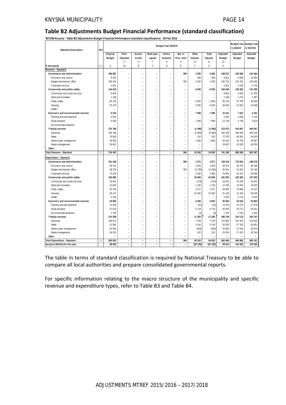#### **Table B2 Adjustments Budget Financial Performance (standard classification)**

**WC048 Knysna - Table B2 Adjustments Budget Financial Performance (standard classification) - 25 Feb 2016**

| <b>Standard Description</b>         | Ref            |               |                          |                          |                | Budget Year 2015/16      |                          |          |                          |               | +1 2016/17    | <b>Budget Year Budget Year</b><br>-2 2017/18 |
|-------------------------------------|----------------|---------------|--------------------------|--------------------------|----------------|--------------------------|--------------------------|----------|--------------------------|---------------|---------------|----------------------------------------------|
|                                     |                | Original      | Prior                    | Accum.                   | Multi-year     | Unfore.                  | Nat. or                  | Other    | Total                    | Adjusted      | Adjusted      | Adjusted                                     |
|                                     |                | <b>Budget</b> | Adjusted                 | Funds                    | capital        | Unavoid.                 | Prov. Govt               | Adjusts. | Adjusts.                 | <b>Budget</b> | <b>Budget</b> | <b>Budget</b>                                |
|                                     |                |               | 5                        | 6                        | $\overline{7}$ | 8                        | 9                        | 10       | 11                       | 12            |               |                                              |
| R thousands                         | 1, 4           | Α             | A1                       | B                        | C              | D                        | E                        | F        | G                        | $\mathsf{H}$  |               |                                              |
| Revenue - Standard                  |                |               |                          |                          |                |                          |                          |          |                          |               |               |                                              |
| Governance and administration       |                | 196 867       | $\overline{\phantom{a}}$ |                          |                |                          | 300                      | 2 3 6 0  | 2 6 6 0                  | 199 527       | 225 596       | 241 964                                      |
| Executive and council               |                | 8 4 9 1       |                          |                          |                |                          |                          | 360      | 360                      | 8851          | 9596          | 10 584                                       |
| Budget and treasury office          |                | 183 454       | L.                       | L.                       | L.             | ۰                        | 300                      | 2 000    | 2 3 0 0                  | 185 754       | 210 782       | 225 645                                      |
| Corporate services                  |                | 4 9 21        | $\overline{a}$           | ÷                        | L,             | L.                       | ÷,                       |          | ÷                        | 4 9 21        | 5 2 1 8       | 5 7 3 5                                      |
| Community and public safety         |                | 144 619       |                          |                          | $\overline{a}$ |                          | $\overline{a}$           | 8 0 3 0  | 8 0 3 0                  | 152 649       | 150 292       | 151 395                                      |
| Community and social services       |                | 9843          |                          |                          | ۳              |                          |                          |          | $\equiv$                 | 9843          | 9 4 0 2       | 11 352                                       |
| Sport and recreation                |                | 1 1 6 8       |                          |                          |                |                          |                          |          |                          | 1 1 6 8       | 1 2 7 3       | 1 3 8 7                                      |
| Public safety                       |                | 80 133        |                          |                          |                |                          |                          | 5 000    | 5 000                    | 85 133        | 87 785        | 95 648                                       |
| Housing                             |                | 53 474        | L,                       | L.                       | L.             |                          | L.                       | 3 0 3 0  | 3 0 3 0                  | 56 505        | 51 832        | 43 008                                       |
| Health                              |                |               | $\overline{\phantom{0}}$ |                          | ÷,             |                          | $\overline{a}$           |          | $\overline{\phantom{0}}$ |               | ÷.            |                                              |
| Economic and environmental services |                | 9 2 3 3       |                          |                          | $\overline{a}$ |                          | L,                       | 7 0 9 8  | 7 0 9 8                  | 16 331        | 7631          | 8 1 6 1                                      |
| Planning and development            |                | 3 5 9 3       |                          |                          |                |                          |                          |          |                          | 3 5 9 3       | 2 8 3 6       | 3 1 4 2                                      |
| Road transport                      |                | 5 640         |                          |                          |                |                          | L,                       | 7 0 9 8  | 7 0 9 8                  | 12 738        | 4 7 9 5       | 5 0 1 9                                      |
| Environmental protection            |                |               |                          |                          |                |                          |                          |          |                          |               |               |                                              |
| <b>Trading services</b>             |                | 373 768       | L.                       |                          | $\overline{a}$ | ÷                        | $\overline{a}$           | (1095)   | (1095)                   | 372 673       | 416 687       | 460 067                                      |
| Electricity                         |                | 238 108       | L.                       | L,                       | $\overline{a}$ | ۳                        | $\overline{a}$           | (3000)   | (3000)                   | 235 108       | 268 266       | 300 204                                      |
| Water                               |                | 76 963        |                          |                          |                |                          |                          | 315      | 315                      | 77 278        | 88 341        | 94 633                                       |
| Waste water management              |                | 28 850        |                          |                          | $\overline{a}$ |                          | ۳                        | 1590     | 1590                     | 30 441        | 26 755        | 28 697                                       |
| Waste management                    |                | 29 847        | L,                       | L,                       | L,             |                          | L,                       |          | $\overline{a}$           | 29 847        | 33 325        | 36 533                                       |
| Other                               |                |               |                          | $\overline{a}$           | $\overline{a}$ |                          | L.                       |          | L.                       |               |               |                                              |
| Total Revenue - Standard            | $\overline{2}$ | 724 487       | $\overline{\phantom{a}}$ | $\sim$                   | $\frac{1}{2}$  | $\overline{\phantom{a}}$ | 300                      | 16 393   | 16 693                   | 741 180       | 800 206       | 861 587                                      |
| Expenditure - Standard              |                |               |                          |                          |                |                          |                          |          |                          |               |               |                                              |
| Governance and administration       |                | 151 548       |                          |                          | $\overline{a}$ |                          | 300                      | 1571     | 1871                     | 153 419       | 179 691       | 188 079                                      |
| Executive and council               |                | 38 751        |                          |                          | ۳              |                          | ÷                        | 1923     | 1 9 2 3                  | 40 674        | 46 762        | 48 788                                       |
| Budget and treasury office          |                | 38 376        | L,                       |                          |                |                          | 300                      | (2735)   | (2435)                   | 35 941        | 51 502        | 54 195                                       |
| Corporate services                  |                | 74 420        | L,                       | L.                       | ٠              | ۰                        | ÷,                       | 2 3 8 4  | 2 3 8 4                  | 76 804        | 81 427        | 85 096                                       |
| Community and public safety         |                | 155 885       | ۳                        | Ē,                       | $\overline{a}$ | L.                       | $\overline{a}$           | 26 069   | 26 069                   | 181 953       | 103 383       | 107 563                                      |
| Community and social services       |                | 16 851        | $\overline{\phantom{0}}$ |                          | ÷,             |                          | $\overline{a}$           | (176)    | (176)                    | 16 675        | 18 195        | 20 841                                       |
| Sport and recreation                |                | 13 654        |                          |                          | L,             |                          | L.                       | 1 1 3 6  | 1 1 3 6                  | 14 790        | 14 944        | 15 9 25                                      |
| Public safety                       |                | 91 475        |                          |                          | $\overline{a}$ |                          | ÷                        | 3 4 1 7  | 3 4 1 7                  | 94 892        | 24 08 6       | 25 141                                       |
| Housing                             |                | 29 471        | L,                       |                          | L,             |                          | L,                       | 21 692   | 21 692                   | 51 163        | 41 445        | 40 639                                       |
| Health                              |                | 4 4 3 4       |                          |                          |                |                          |                          |          |                          | 4 4 3 4       | 4 7 1 4       | 5 0 1 6                                      |
| Economic and environmental services |                | 53 863        | L.                       |                          | $\overline{a}$ | L,                       | $\sim$                   | 6 6 9 3  | 6 6 9 3                  | 60 556        | 52 634        | 55 803                                       |
| Planning and development            |                | 14 400        | $\overline{\phantom{0}}$ |                          | $\overline{a}$ |                          |                          | (21)     | (21)                     | 14 378        | 16 710        | 17879                                        |
| Road transport                      |                | 37 679        |                          |                          |                |                          | L.                       | 6716     | 6 7 1 6                  | 44 395        | 33 771        | 35 621                                       |
| Env ironmental protection           |                | 1785          | $\equiv$                 | L.                       | ÷              | ۳                        | ÷                        | (2)      | (2)                      | 1783          | 2 1 5 3       | 2 3 0 2                                      |
| <b>Trading services</b>             |                | 274 538       | L,                       |                          |                |                          | L,                       | 11 200   | 11 200                   | 285 738       | 310 174       | 333 747                                      |
| Electricity                         |                | 168 672       |                          |                          | $\overline{a}$ |                          | ÷,                       | 7 9 7 8  | 7978                     | 176 650       | 197 923       | 214 644                                      |
| Water                               |                | 51 891        | L.                       | ۳                        | $\overline{a}$ |                          | L.                       | 3 1 4 4  | 3 1 4 4                  | 55 035        | 57 315        | 60 881                                       |
| Waste water management              |                | 25 044        |                          |                          |                |                          |                          | (244)    | (244)                    | 24 800        | 27 024        | 28 979                                       |
| Waste management                    |                | 28 931        | L,                       | L,                       | ÷,             | L.                       | L.                       | 322      | 322                      | 29 25 3       | 27 912        | 29 244                                       |
| Other                               |                |               | L.                       | ۰                        | L.             | ÷                        | ÷                        |          | ÷                        |               |               |                                              |
| Total Expenditure - Standard        | 3              | 635 833       | $\overline{a}$           | $\overline{\phantom{a}}$ | $\frac{1}{2}$  | $\overline{\phantom{0}}$ | 300                      | 45 533   | 45 833                   | 681 666       | 645 882       | 685 191                                      |
| Surplus/ (Deficit) for the year     |                | 88 653        | ÷,                       | $\overline{\phantom{a}}$ | $\frac{1}{2}$  | $\overline{\phantom{a}}$ | $\overline{\phantom{a}}$ | (29139)  | (29139)                  | 59 514        | 154 324       | 176 396                                      |
|                                     |                |               |                          |                          |                |                          |                          |          |                          |               |               |                                              |

The table in terms of standard classification is required by National Treasury to be able to compare all local authorities and prepare consolidated governmental reports.

For specific information relating to the macro structure of the municipality and specific revenue and expenditure types, refer to Table B3 and Table B4.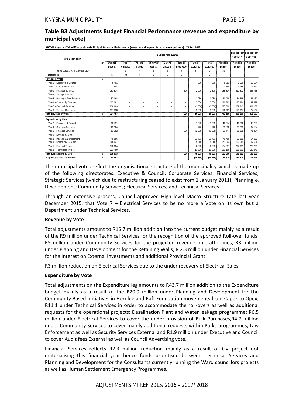#### **Table B3 Adjustments Budget Financial Performance (revenue and expenditure by municipal vote)**

**WC048 Knysna - Table B3 Adjustments Budget Financial Performance (revenue and expenditure by municipal vote) - 25 Feb 2016**

| <b>Vote Description</b>             | Budget Year 2015/16 |               |                          |                          |                          |                          |                          |                          |          |          | Budget Year Budget Year<br>+1 2016/17 | $+22017/18$ |
|-------------------------------------|---------------------|---------------|--------------------------|--------------------------|--------------------------|--------------------------|--------------------------|--------------------------|----------|----------|---------------------------------------|-------------|
|                                     | Ref                 | Original      | Prior                    | Accum.                   | Multi-year               | Unfore.                  | Nat. or                  | Other                    | Total    | Adjusted | Adjusted                              | Adjusted    |
|                                     |                     | <b>Budget</b> | Adjusted                 | Funds                    | capital                  | Unavoid.                 | Prov. Govt               | Adjusts.                 | Adjusts. | Budget   | Budget                                | Budget      |
| [Insert departmental structure etc] |                     |               | 3                        | 4                        | 5                        | 6                        |                          | 8                        | q        | 10       |                                       |             |
| R thousands                         |                     | Α             | A1                       | R.                       | C                        | D                        | Ε                        | F                        | G        | н        |                                       |             |
| <b>Revenue by Vote</b>              | 1                   |               |                          |                          |                          |                          |                          |                          |          |          |                                       |             |
| Vote 1 - Executive & Council        |                     | 8 4 9 1       | -                        | $\overline{\phantom{0}}$ | -                        | $\equiv$                 | -                        | 360                      | 360      | 8851     | 9596                                  | 10 5 84     |
| Vote 2 - Corporate Services         |                     | 3 6 4 4       | Ξ.                       | $\overline{\phantom{0}}$ | $\overline{\phantom{0}}$ | $\overline{\phantom{a}}$ | -                        | $\overline{\phantom{0}}$ | $\sim$   | 3644     | 3 9 8 6                               | 4 4 1 1     |
| Vote 3 - Financial Services         |                     | 183 534       | $\overline{\phantom{a}}$ | $\overline{\phantom{a}}$ | ÷                        | $\sim$                   | 300                      | 2 0 0 0                  | 2 3 0 0  | 185 834  | 210 872                               | 225 758     |
| Vote 4 - Strategic Services         |                     |               | $\equiv$                 | $\overline{\phantom{m}}$ | $\equiv$                 | $\sim$                   | ÷,                       | $\overline{\phantom{0}}$ | $\equiv$ |          |                                       |             |
| Vote 5 - Planning & Development     |                     | 57 068        | Ξ.                       | $\overline{\phantom{0}}$ | $\overline{\phantom{0}}$ | $\sim$                   | $\overline{\phantom{0}}$ | 3 0 3 0                  | 3 0 3 0  | 60 098   | 54 668                                | 46 150      |
| Vote 6 - Community Services         |                     | 125 282       | ۰                        | $\overline{\phantom{a}}$ | $\overline{\phantom{0}}$ | $\sim$                   | ۰                        | 5 000                    | 5 000    | 130 282  | 135 924                               | 149 329     |
| Vote 7 - Flectrical Services        |                     | 238 609       | Ξ.                       | $\overline{\phantom{0}}$ | -                        | $\equiv$                 | ۰                        | (3000)                   | (3000)   | 235 609  | 269 243                               | 301 188     |
| Vote 8 - Technical Services         |                     | 107 858       | Ξ.                       | $\overline{\phantom{m}}$ | -                        | $\sim$                   | ۰                        | 9 0 0 3                  | 9 0 0 3  | 116 861  | 115 917                               | 124 167     |
| <b>Total Revenue by Vote</b>        | 2                   | 724 487       | Ξ.                       | $\overline{\phantom{a}}$ | ۰                        | $\overline{\phantom{a}}$ | 300                      | 16 393                   | 16 693   | 741 180  | 800 206                               | 861 587     |
| <b>Expenditure by Vote</b>          |                     |               |                          |                          |                          |                          |                          |                          |          |          |                                       |             |
| Vote 1 - Executive & Council        |                     | 38 751        | ۰                        | $\qquad \qquad -$        | ÷                        | $\overline{\phantom{a}}$ | -                        | 1923                     | 1923     | 40 674   | 46 762                                | 48 788      |
| Vote 2 - Corporate Services         |                     | 29 104        | Ξ.                       | $\equiv$                 | ÷                        | $\overline{\phantom{a}}$ | -                        | 746                      | 746      | 29 850   | 33 213                                | 34 184      |
| Vote 3 - Financial Services         |                     | 53 382        | Ξ.                       | $\qquad \qquad -$        | $\equiv$                 | $\sim$                   | 300                      | (2 235)                  | (1935)   | 51 447   | 68 205                                | 71 434      |
| Vote 4 - Strategic Services         |                     |               | Ξ.                       | $\overline{\phantom{m}}$ | $\equiv$                 | $\overline{\phantom{a}}$ | $\overline{\phantom{0}}$ | $\equiv$                 | ۰        | $\sim$   |                                       |             |
| Vote 5 - Planning & Development     |                     | 49 056        | Ξ.                       | $\overline{\phantom{0}}$ | -                        | $\equiv$                 | $\overline{\phantom{0}}$ | 21 733                   | 21 733   | 70 790   | 63 369                                | 64 059      |
| Vote 6 - Community Services         |                     | 166 027       | Ξ.                       | $\overline{\phantom{m}}$ | $\overline{\phantom{0}}$ | $\overline{\phantom{a}}$ | ÷,                       | 5 2 1 6                  | 5 2 1 6  | 171 243  | 100 549                               | 107 684     |
| Vote 7 - Electrical Services        |                     | 178 034       | -                        | $\overline{\phantom{a}}$ | $\overline{\phantom{0}}$ | $\overline{\phantom{a}}$ | ÷,                       | 6 5 23                   | 6 5 23   | 184 557  | 207 901                               | 225 203     |
| Vote 8 - Technical Services         |                     | 121 480       | Ξ.                       | $\overline{\phantom{m}}$ | ÷                        | $\sim$                   | -                        | 11 626                   | 11 626   | 133 106  | 125 883                               | 133 841     |
| <b>Total Expenditure by Vote</b>    | $\overline{2}$      | 635 833       | $\overline{\phantom{0}}$ | $\sim$                   | ۰                        | $\overline{\phantom{a}}$ | 300                      | 45 533                   | 45 833   | 681 666  | 645 882                               | 685 191     |
| Surplus/ (Deficit) for the year     | $\overline{2}$      | 88 653        | Ξ.                       | $\overline{\phantom{a}}$ | ۰                        | $\equiv$                 | ٠                        | (29139)                  | (29139)  | 59 514   | 154 324                               | 176 396     |

The municipal votes reflect the organisational structure of the municipality which is made up of the following directorates: Executive & Council; Corporate Services; Financial Services; Strategic Services (which due to restructuring ceased to exist from 1 January 2011); Planning & Development; Community Services; Electrical Services; and Technical Services.

Through an extensive process, Council approved High level Macro Structure Late last year December 2015, that Vote 7 – Electrical Services to be no more a Vote on its own but a Department under Technical Services.

#### **Revenue by Vote**

Total adjustments amount to R16.7 million addition into the current budget mainly as a result of the R9 million under Technical Services for the recognition of the approved Roll‐over funds; R5 million under Community Services for the projected revenue on traffic fines, R3 million under Planning and Development for the Retaining Walls; R 2.3 million under Financial Services for the Interest on External Investments and additional Provincial Grant.

R3 million reduction on Electrical Services due to the under recovery of Electrical Sales.

#### **Expenditure by Vote**

Total adjustments on the Expenditure leg amounts to R43.7 million addition to the Expenditure budget mainly as a result of the R20.9 million under Planning and Development for the Community Based Initiatives in Hornlee and Raft Foundation movements from Capex to Opex; R11.1 under Technical Services in order to accommodate the roll‐overs as well as additional requests for the operational projects: Desalination Plant and Water leakage programme; R6.5 million under Electrical Services to cover the under provision of Bulk Purchases,R4.7 million under Community Services to cover mainly additional requests within Parks programmes, Law Enforcement as well as Security Services External and R1.9 million under Executive and Council to cover Audit fees External as well as Council Advertising vote.

Financial Services reflects R2.3 million reduction mainly as a result of GV project not materialising this financial year hence funds prioritised between Technical Services and Planning and Development for the Consultants currently running the Ward councillors projects as well as Human Settlement Emergency Programmes.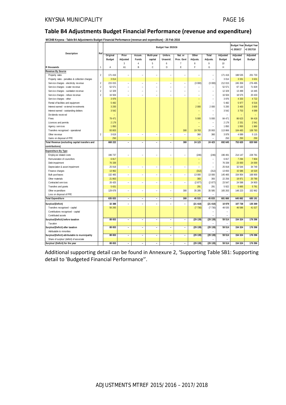#### **Table B4 Adjustments Budget Financial Performance (revenue and expenditure)**

**WC048 Knysna - Table B4 Adjustments Budget Financial Performance (revenue and expenditure) - 25 Feb 2016**

| $\cdots$<br>Table B47 Mgasthierits Baaget Financial Ferrormance (revenue and experiencie) | Ref            |               |                              |                          |                          | Budget Year 2015/16      |                |          |                          |               | +1 2016/17 | Budget Year Budget Year<br>+2 2017/18 |
|-------------------------------------------------------------------------------------------|----------------|---------------|------------------------------|--------------------------|--------------------------|--------------------------|----------------|----------|--------------------------|---------------|------------|---------------------------------------|
| Description                                                                               |                | Original      | Prior                        | Accum.                   | Multi-year               | Unfore.                  | Nat. or        | Other    | Total                    | Adjusted      | Adjusted   | Adjusted                              |
|                                                                                           |                | <b>Budget</b> | Adjusted                     | Funds                    | capital                  | Unavoid.                 | Prov. Govt     | Adjusts. | Adjusts.                 | <b>Budget</b> | Budget     | Budget                                |
|                                                                                           |                |               | 3                            | $\sqrt{4}$               | 5                        | 6                        | $\overline{7}$ | 8        | 9                        | 10            |            |                                       |
| R thousands                                                                               | -1             | Α             | A1                           | B                        | $\mathsf{C}$             | D                        | E              | F        | G                        | Н             |            |                                       |
| Revenue By Source                                                                         |                |               |                              |                          |                          |                          |                |          |                          |               |            |                                       |
| Property rates                                                                            | $\overline{2}$ | 171 416       | ÷,                           | $\equiv$                 | L.                       | L,                       | $\equiv$       | ۳        | ÷,                       | 171 416       | 188 535    | 201 733                               |
| Property rates - penalties & collection charges                                           |                | 3 0 1 4       |                              |                          |                          |                          |                |          | $\equiv$                 | 3 0 1 4       | 3 3 3 1    | 3 6 3 1                               |
| Service charges - electricity revenue                                                     | $\overline{2}$ | 215 015       | $\frac{1}{2}$                | ۰                        | ÷                        | $\overline{a}$           | ÷              | (3000)   | (3000)                   | 212 015       | 245 359    | 276 495                               |
| Service charges - water revenue                                                           | $\overline{2}$ | 52 571        | $\overline{a}$               | $\equiv$                 | ÷                        | $\overline{a}$           | $\overline{a}$ |          | $\equiv$                 | 52 571        | 67 132     | 71 829                                |
| Service charges - sanitation revenue                                                      | $\overline{2}$ | 12 3 29       | L,                           |                          | Ē,                       | ÷,                       |                |          | L,                       | 12 3 29       | 13 499     | 14 445                                |
| Service charges - refuse revenue                                                          | $\overline{2}$ | 16 504        | ä,                           | $\overline{a}$           | L.                       | L.                       | L.             | -        | ÷,                       | 16 504        | 18 575     | 20 433                                |
| Service charges - other                                                                   |                | 3 9 7 6       |                              |                          |                          |                          |                | L,       | $\ddot{\phantom{1}}$     | 3 9 7 6       | 4 3 3 3    | 4 7 2 2                               |
| Rental of facilities and equipment                                                        |                | 5 4 8 2       |                              |                          |                          |                          |                |          |                          | 5 4 8 2       | 5 977      | 6516                                  |
| Interest earned - external investments                                                    |                | 3 200         |                              |                          |                          |                          |                | 2 000    | 2 0 0 0                  | 5 200         | 3 4 0 0    | 3 600                                 |
| Interest earned - outstanding debtors                                                     |                | 3542          |                              |                          |                          |                          |                |          | $\overline{\phantom{a}}$ | 3542          | 3753       | 4 0 8 9                               |
| Dividends received                                                                        |                |               |                              |                          |                          |                          |                |          |                          |               |            |                                       |
| Fines                                                                                     |                | 79 471        |                              |                          |                          |                          |                | 5 000    | 5 0 0 0                  | 84 471        | 86 623     | 94 418                                |
| Licences and permits                                                                      |                | 2 1 7 9       |                              |                          |                          |                          |                |          |                          | 2 1 7 9       | 2 3 3 1    | 2541                                  |
| Agency services                                                                           |                | 1850          |                              |                          |                          |                          |                | L,       | ÷,                       | 1850          | 1 950      | 1960                                  |
| Transfers recognised - operational                                                        |                | 93 803        |                              |                          |                          |                          | 300            | 19 763   | 20 063                   | 113 866       | 104 483    | 108 783                               |
| Other revenue                                                                             | $\overline{2}$ | 3 6 1 9       | ÷                            | $\overline{a}$           | L,                       | L,                       | $\overline{a}$ | 360      | 360                      | 3 9 7 9       | 4 0 8 9    | 5 1 1 5                               |
| Gains on disposal of PPE                                                                  |                | 250           |                              |                          |                          |                          |                |          | L.                       | 250           | 250        | 250                                   |
| Total Revenue (excluding capital transfers and                                            |                | 668 222       | $\overline{\phantom{a}}$     | $\overline{\phantom{0}}$ | ÷                        | $\overline{a}$           | 300            | 24 123   | 24 423                   | 692 645       | 753 620    | 820 560                               |
| contributions)                                                                            |                |               |                              |                          |                          |                          |                |          |                          |               |            |                                       |
| <b>Expenditure By Type</b>                                                                |                |               |                              |                          |                          |                          |                |          |                          |               |            |                                       |
| Employee related costs                                                                    |                | 196 737       | $\overline{a}$               | $\overline{a}$           | L,                       | ÷,                       | $\overline{a}$ | (246)    | (246)                    | 196 491       | 214 147    | 228 781                               |
| Remuneration of councillors                                                               |                | 6817          |                              |                          |                          |                          |                |          | ÷,                       | 6817          | 7 2 9 4    | 7804                                  |
| Debt impairment                                                                           |                | 76 339        |                              |                          |                          |                          |                | ÷,       | ÷,                       | 76 339        | 23 000     | 24 000                                |
| Depreciation & asset impairment                                                           |                | 25 918        | $\overline{a}$               | $\equiv$                 | $\overline{a}$           | $\overline{a}$           | $\equiv$       | ÷        | $\overline{a}$           | 25 918        | 32 544     | 34 749                                |
| Finance charges                                                                           |                | 13 962        |                              |                          |                          |                          |                | (312)    | (312)                    | 13 650        | 15 5 86    | 16 520                                |
| <b>Bulk purchases</b>                                                                     |                | 132 465       | $\frac{1}{2}$                | $\overline{a}$           | ÷,                       | $\frac{1}{2}$            | ÷              | 13 000   | 13 000                   | 145 465       | 154 954    | 168 900                               |
| Other materials                                                                           |                | 21 863        |                              |                          |                          |                          |                | 393      | 393                      | 22 25 6       | 19 871     | 20 790                                |
| Contracted services                                                                       |                | 26 4 25       | $\overline{a}$               | $\equiv$                 | ÷,                       | $\overline{a}$           | $\equiv$       | (2877)   | (2877)                   | 23 547        | 24 598     | 24 903                                |
| Transfers and grants                                                                      |                | 5 6 3 1       |                              |                          |                          |                          |                | 291      | 291                      | 5922          | 5 6 6 5    | 5 7 8 1                               |
| Other expenditure                                                                         |                | 129 678       | $\overline{a}$               | $\overline{\phantom{a}}$ | $\overline{a}$           | ÷,                       | 300            | 35 285   | 35 585                   | 165 263       | 148 223    | 152 962                               |
| Loss on disposal of PPE                                                                   |                |               |                              |                          |                          |                          |                | ÷        | $\overline{a}$           | ÷             |            |                                       |
| <b>Total Expenditure</b>                                                                  |                | 635 833       | $\overline{\phantom{a}}$     | $\overline{\phantom{a}}$ | $\overline{\phantom{a}}$ | $\overline{\phantom{a}}$ | 300            | 45 533   | 45 833                   | 681 666       | 645 882    | 685 191                               |
| Surplus/(Deficit)                                                                         |                | 32 388        | $\overline{a}$               | $\overline{\phantom{0}}$ | ÷                        | $\overline{a}$           | $\bar{a}$      | (21 410) | (21 410)                 | 10 979        | 107 738    | 135 369                               |
| Transfers recognised - capital                                                            |                | 56 265        |                              |                          |                          |                          |                | (7730)   | (7730)                   | 48 535        | 46 586     | 41 027                                |
| Contributions recognised - capital                                                        |                |               |                              |                          |                          |                          |                |          | ÷,                       |               |            |                                       |
| Contributed assets                                                                        |                |               |                              |                          |                          |                          |                |          |                          |               |            |                                       |
| Surplus/(Deficit) before taxation                                                         |                | 88 653        | $\overline{a}$               | $\overline{\phantom{a}}$ | $\overline{a}$           | $\overline{a}$           | ÷,             | (29139)  | (29139)                  | 59 514        | 154 324    | 176 396                               |
| Tax ation                                                                                 |                |               |                              |                          |                          |                          |                |          | ä,                       |               |            |                                       |
| Surplus/(Deficit) after taxation                                                          |                | 88 653        | $\overline{\phantom{a}}$     | $\overline{\phantom{0}}$ | $\overline{\phantom{a}}$ | $\overline{\phantom{a}}$ | $\overline{a}$ | (29139)  | (29139)                  | 59 514        | 154 324    | 176 396                               |
| Attributable to minorities                                                                |                |               |                              |                          |                          |                          |                |          |                          |               |            |                                       |
|                                                                                           |                | 88 653        | $\overline{\phantom{a}}$     | $\bar{a}$                | $\overline{\phantom{a}}$ | $\overline{\phantom{a}}$ | $\bar{a}$      | (29139)  | (29139)                  | 59 514        | 154 324    | 176 396                               |
| Surplus/(Deficit) attributable to municipality                                            |                |               |                              |                          |                          |                          |                |          |                          |               |            |                                       |
| Share of surplus/ (deficit) of associate                                                  |                | 88 653        |                              |                          |                          |                          |                |          | (29139)                  | 59 514        | 154 324    | 176 396                               |
| Surplus/ (Deficit) for the year                                                           |                |               | $\qquad \qquad \blacksquare$ | $\overline{\phantom{0}}$ | $\overline{\phantom{a}}$ | $\overline{a}$           | $\overline{a}$ | (29139)  |                          |               |            |                                       |

Additional supporting detail can be found in Annexure 2, 'Supporting Table SB1: Supporting detail to 'Budgeted Financial Performance''.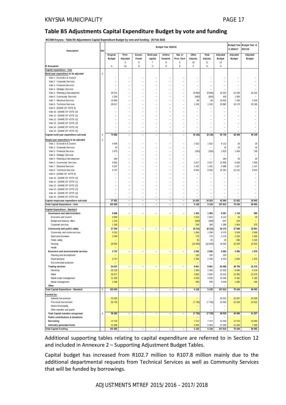#### **Table B5 Adjustments Capital Expenditure Budget by vote and funding**

**WC048 Knysna - Table B5 Adjustments Capital Expenditure Budget by vote and funding - 25 Feb 2016**

| Description                                                             | Ref            |                    |                          |                          |                          | Budget Year 2015/16      |                          |                 |                 |                                | +1 2016/17         | Budget Year Budget Year +2<br>2017/18 |
|-------------------------------------------------------------------------|----------------|--------------------|--------------------------|--------------------------|--------------------------|--------------------------|--------------------------|-----------------|-----------------|--------------------------------|--------------------|---------------------------------------|
|                                                                         |                | Original           | Prior                    | Accum.                   | Multi-year               | Unfore.                  | Nat. or                  | Other           | Total           | Adjusted                       | Adjusted           | Adjusted                              |
|                                                                         |                | <b>Budget</b>      | Adjusted                 | Funds                    | capital                  | Unavoid.                 | Prov. Govt               | Adjusts.        | Adjusts.        | <b>Budget</b>                  | <b>Budget</b>      | Budget                                |
| R thousands                                                             |                | Α                  | 5<br>A1                  | 6<br>B                   | $\overline{7}$<br>C      | 8<br>D                   | 9<br>E                   | 10<br>F         | 11<br>G         | 12<br>Η                        |                    |                                       |
| Capital expenditure - Vote                                              |                |                    |                          |                          |                          |                          |                          |                 |                 |                                |                    |                                       |
| Multi-year expenditure to be adjusted                                   | $\overline{2}$ |                    |                          |                          |                          |                          |                          |                 |                 |                                |                    |                                       |
| Vote 1 - Ex ecutiv e & Council                                          |                |                    |                          |                          |                          |                          |                          |                 |                 |                                |                    |                                       |
| Vote 2 - Corporate Services                                             |                |                    |                          |                          | L.                       | L.                       |                          | L.              | ÷.              | L.                             |                    |                                       |
| Vote 3 - Financial Services                                             |                |                    |                          |                          |                          |                          |                          |                 |                 |                                |                    |                                       |
| Vote 4 - Strategic Services                                             |                |                    |                          |                          |                          |                          | L,                       |                 |                 |                                |                    |                                       |
| Vote 5 - Planning & Dev elopment<br>Vote 6 - Community Services         |                | 29 37 2<br>1 0 3 0 | L.                       | L,                       |                          | L                        | $\overline{a}$<br>L,     | (9850)<br>(600) | (9850)<br>(600) | 19 522<br>430                  | 22 0 29<br>1 0 0 0 | 16 522                                |
| Vote 7 - Electrical Services                                            |                | 15 863             |                          |                          |                          |                          |                          | 69              | 69              | 15 932                         | 7 209              | 3 4 3 2                               |
| Vote 8 - Technical Services                                             |                | 28 617             |                          | L,                       |                          | L,                       | L.                       | 1 2 4 5         | 1 2 4 5         | 29 862                         | 18 170             | 20 195                                |
| Vote 9 - [NAME OF VOTE 9]                                               |                |                    |                          |                          |                          |                          |                          |                 |                 |                                |                    |                                       |
| Vote 10 - [NAME OF VOTE 10]                                             |                |                    |                          | L,                       |                          | L.                       | L.                       | L.              | L.              | L.                             |                    |                                       |
| Vote 11 - [NAME OF VOTE 11]                                             |                |                    |                          |                          |                          | L,                       |                          |                 |                 | L                              |                    |                                       |
| Vote 12 - [NAME OF VOTE 12]                                             |                |                    |                          |                          |                          |                          |                          |                 |                 | L                              |                    |                                       |
| Vote 13 - [NAME OF VOTE 13]                                             |                |                    |                          | L,                       | L                        | L.                       | L.                       | L               | L.              | L                              |                    |                                       |
| Vote 14 - [NAME OF VOTE 14]                                             |                |                    |                          | $\overline{a}$<br>L,     | L,                       | -<br>$\overline{a}$      | L,                       | ÷,              | ÷,<br>L,        | $\overline{\phantom{0}}$<br>L, |                    |                                       |
| Vote 15 - [NAME OF VOTE 15]<br>Capital multi-year expenditure sub-total | $\sqrt{3}$     | 74 882             |                          | $\overline{\phantom{m}}$ |                          | $\overline{\phantom{m}}$ | $\overline{\phantom{a}}$ | (9136)          | (9136)          | 65 746                         | 48 40 8            | 40 149                                |
|                                                                         |                |                    |                          |                          |                          |                          |                          |                 |                 |                                |                    |                                       |
| Single-year expenditure to be adjusted                                  | $\sqrt{2}$     | 4 600              |                          |                          |                          |                          |                          | 1522            | 1522            | 6 1 2 2                        | 20                 | 20                                    |
| Vote 1 - Executive & Council<br>Vote 2 - Corporate Services             |                | 10                 |                          | L,                       | L.                       | L,                       | ÷                        |                 | ÷               | 10                             | 10                 | 10                                    |
| Vote 3 - Financial Services                                             |                | 1975               |                          |                          |                          | L                        |                          | (150)           | (150)           | 1825                           | 1 5 0 4            | 745                                   |
| Vote 4 - Strategic Services                                             |                |                    | L.                       | L,                       | L                        | L                        | L.                       | L.              | ÷,              | L.                             |                    |                                       |
| Vote 5 - Planning & Development                                         |                | 260                |                          |                          |                          |                          |                          |                 |                 | 260                            | 20                 | 20                                    |
| Vote 6 - Community Services                                             |                | 9 9 5 2            |                          |                          |                          | L,                       | ÷,                       | 2917            | 2917            | 12 869                         | 6 6 3 9            | 7859                                  |
| Vote 7 - Electrical Services                                            |                | 4 2 5 7            |                          |                          |                          |                          | L.                       | 1 4 3 1         | 1 4 3 1         | 5 6 8 8                        | 1 4 2 7            | 1 1 4 7                               |
| Vote 8 - Technical Services                                             |                | 6 7 4 7            |                          | L,                       |                          | L.                       | L,                       | 8 5 4 4         | 8 5 4 4         | 15 291                         | 12 212             | 9 0 4 2                               |
| Vote 9 - [NAME OF VOTE 9]                                               |                |                    |                          | l,                       |                          | L,                       | L.                       | L.              |                 | L                              |                    |                                       |
| Vote 10 - [NAME OF VOTE 10]<br>Vote 11 - [NAME OF VOTE 11]              |                |                    |                          |                          |                          |                          |                          |                 | Ĭ.              | L                              |                    |                                       |
| Vote 12 - [NAME OF VOTE 12]                                             |                |                    |                          |                          |                          |                          |                          |                 |                 |                                |                    |                                       |
| Vote 13 - [NAME OF VOTE 13]                                             |                |                    |                          | L,                       |                          | L,                       | L,                       | L               | L               | L,                             |                    |                                       |
| Vote 14 - [NAME OF VOTE 14]                                             |                |                    |                          | L.                       |                          |                          | L.                       | L               | L.              | L                              |                    |                                       |
| Vote 15 - [NAME OF VOTE 15]                                             |                |                    | ۳                        | ÷                        | ÷.                       | ÷                        | ÷,                       | ÷,              | ÷               | L.                             |                    |                                       |
| Capital single-year expenditure sub-total                               |                | 27 801             | $\overline{\phantom{a}}$ | $\frac{1}{2}$            | $\overline{\phantom{a}}$ | $\overline{\phantom{a}}$ | $\overline{\phantom{a}}$ | 14 263          | 14 263          | 42 064                         | 21 832             | 18 843                                |
| Total Capital Expenditure - Vote                                        |                | 102 683            | $\sim$                   | ä,                       | ä,                       | $\overline{\phantom{a}}$ | $\overline{\phantom{a}}$ | 5128            | 5 1 2 8         | 107 810                        | 70 240             | 58 992                                |
| Capital Expenditure - Standard                                          |                |                    |                          |                          |                          |                          |                          |                 |                 |                                |                    |                                       |
| Governance and administration                                           |                | 6 9 9 5            |                          | $\overline{a}$           |                          |                          | ÷,                       | 1 3 6 2         | 1 3 6 2         | 8 3 5 7                        | 1744               | 995                                   |
| Executive and council                                                   |                | 4 600              |                          |                          |                          |                          |                          | 1522            | 1522            | 6 1 2 2                        | 20                 | 20                                    |
| Budget and treasury office<br>Corporate services                        |                | 1 2 1 5<br>1 1 8 0 |                          |                          |                          |                          |                          | (368)<br>208    | (368)<br>208    | 847<br>1 3 8 8                 | 120<br>1 604       | 975                                   |
| Community and public safety                                             |                | 37 304             | $\overline{\phantom{m}}$ | $\overline{\phantom{m}}$ | $\blacksquare$           | ÷,                       | ÷,                       | (8131)          | (8131)          | 29 173                         | 27 688             | 23 851                                |
| Community and social services                                           |                | 5 3 1 2            |                          |                          |                          |                          |                          | 1 0 5 8         | 1 0 5 8         | 6 3 7 0                        | 2 5 0 9            | 2 5 0 9                               |
| Sport and recreation                                                    |                | 2 4 0 0            |                          |                          |                          |                          |                          | 776             | 776             | 3 1 7 6                        | 2 2 2 0            | 1600                                  |
| Public safety                                                           |                |                    |                          |                          |                          |                          |                          | 35              | 35              | 35                             | 930                | 3 2 2 0                               |
| Housing                                                                 |                | 29 5 9 2           |                          |                          |                          |                          |                          | (10000)         | (10000)         | 19 592                         | 22 0 29            | 16 522                                |
| Health                                                                  |                |                    |                          |                          |                          |                          |                          |                 |                 |                                |                    |                                       |
| Economic and environmental services                                     |                | 3 7 4 7            | $\overline{\phantom{a}}$ | $\blacksquare$           | $\blacksquare$           | ۰                        | $\overline{\phantom{a}}$ | 2936<br>150     | 2936<br>150     | 6 6 8 3<br>150                 | 2 0 5 0            | 1870                                  |
| Planning and development<br>Road transport                              |                | 3747               |                          |                          |                          |                          |                          | 2 7 8 6         | 2 7 8 6         | 6 5 3 3                        | 2 0 5 0            | 1870                                  |
| Environmental protection                                                |                |                    |                          |                          |                          |                          |                          |                 | ۰               |                                |                    |                                       |
| <b>Trading services</b>                                                 |                | 54 637             | $\overline{\phantom{m}}$ | $\overline{\phantom{0}}$ | $\overline{\phantom{a}}$ | $\overline{a}$           | $\overline{\phantom{a}}$ | 8 9 6 1         | 8 9 6 1         | 63 598                         | 38 758             | 32 276                                |
| Electricity                                                             |                | 20 120             |                          |                          |                          |                          |                          | 1500            | 1500            | 21 620                         | 8 6 3 6            | 4579                                  |
| Water                                                                   |                | 20 677             |                          |                          |                          |                          |                          | 2 8 6 4         | 2 8 6 4         | 23 541                         | 22 050             | 22 075                                |
| Waste water management                                                  |                | 11 360             |                          |                          |                          |                          |                          | 4 0 3 9         | 4 0 3 9         | 15 399                         | 6 182              | 5 182                                 |
| Waste management                                                        |                | 2 4 8 0            |                          |                          |                          |                          |                          | 558             | 558             | 3 0 3 8                        | 1890               | 440                                   |
| Other                                                                   |                |                    |                          |                          |                          |                          |                          |                 |                 |                                |                    |                                       |
| Total Capital Expenditure - Standard                                    | 3              | 102 683            | ÷,                       | ÷,                       | ÷,                       | ÷,                       | $\sim$                   | 5 1 2 8         | 5128            | 107 810                        | 70 240             | 58 992                                |
| Funded by:                                                              |                |                    |                          |                          |                          |                          |                          |                 |                 |                                |                    |                                       |
| National Government                                                     |                | 25 5 32            |                          |                          |                          |                          |                          | $\equiv$        | ÷               | 25 532                         | 24 5 57            | 24 505                                |
| Prov incial Gov ernment                                                 |                | 30 733             |                          |                          |                          |                          |                          | (7730)          | (7730)          | 23 003                         | 22 0 29            | 16 522                                |
| <b>District Municipality</b>                                            |                |                    |                          |                          |                          |                          |                          | -               |                 | -                              |                    |                                       |
| Other transfers and grants<br><b>Total Capital transfers recognised</b> | $\overline{4}$ | 56 265             | $\overline{\phantom{a}}$ | $\overline{\phantom{a}}$ | $\overline{\phantom{a}}$ | $\overline{\phantom{a}}$ | $\overline{\phantom{a}}$ | (7730)          | (7730)          | 48 535                         | 46 586             | 41 027                                |
| Public contributions & donations                                        |                |                    |                          |                          |                          |                          |                          |                 |                 |                                |                    |                                       |
| Borrowing                                                               |                | 14 7 32            |                          |                          |                          |                          |                          | 7 4 7 4         | 7474            | 22 206                         | 12 570             | 10 660                                |
| Internally generated funds                                              |                | 31 686             |                          |                          |                          |                          |                          | 5 3 8 3         | 5 3 8 3         | 37 069                         | 11 084             | 7 3 0 5                               |
| Total Capital Funding                                                   |                | 102 683            |                          |                          | $\overline{\phantom{a}}$ | $\qquad \qquad -$        |                          | 5 1 28          | 5128            | 107 810                        | 70 240             | 58 992                                |

Additional supporting tables relating to capital expenditure are referred to in Section 12 and included in Annexure 2 – Supporting Adjustment Budget Tables.

Capital budget has increased from R102.7 million to R107.8 million mainly due to the additional departmental requests from Technical Services as well as Community Services that will be funded by borrowings.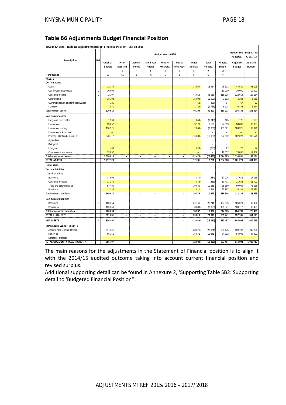#### **Table B6 Adjustments Budget Financial Position**

**WC048 Knysna - Table B6 Adjustments Budget Financial Position - 25 Feb 2016**

| WC040 Kity311a - Table Do Auju3tifients Duuget Financial Fosition - 201 eb 2010 |                |                    |                          |                                  |                                            | Budget Year 2015/16      |                          |                  |                   |                    | +1 2016/17         | Budget Year Budget Year<br>+2 2017/18 |
|---------------------------------------------------------------------------------|----------------|--------------------|--------------------------|----------------------------------|--------------------------------------------|--------------------------|--------------------------|------------------|-------------------|--------------------|--------------------|---------------------------------------|
| Description                                                                     | Ref            |                    |                          |                                  |                                            |                          |                          |                  |                   |                    |                    |                                       |
|                                                                                 |                | Original           | Prior                    | Accum.                           | Multi-year                                 | Unfore.                  | Nat. or                  | Other            | Total             | Adjusted           | Adjusted           | Adjusted                              |
|                                                                                 |                | <b>Budget</b>      | Adjusted                 | Funds                            | capital                                    | Unavoid.                 | Prov. Govt               | Adjusts.         | Adjusts.          | <b>Budget</b>      | <b>Budget</b>      | <b>Budget</b>                         |
| R thousands                                                                     |                | $\overline{A}$     | $\sqrt{3}$<br>A1         | $\overline{4}$<br>B              | 5<br>C                                     | 6<br>D                   | $\overline{7}$<br>F      | 8<br>E           | 9<br>G            | 10<br>H            |                    |                                       |
| <b>ASSETS</b>                                                                   |                |                    |                          |                                  |                                            |                          |                          |                  |                   |                    |                    |                                       |
| <b>Current assets</b>                                                           |                |                    |                          |                                  |                                            |                          |                          |                  |                   |                    |                    |                                       |
| Cash                                                                            |                | 12 3 38            |                          |                                  |                                            |                          |                          | 13 964           | 13 964            | 26 302             | 44 530             | 93 103                                |
| Call investment deposits                                                        | 1              | 10 000             | $\overline{a}$           | $\overline{a}$                   | ٠                                          | $\overline{a}$           | $\overline{\phantom{a}}$ |                  |                   | 10 000             | 10 000             | 10 000                                |
| Consumer debtors                                                                | 1              | 72 107             | ÷                        | ÷                                | ÷                                          | ÷                        | $\equiv$                 | 43 018           | 43 018            | 115 125            | 122 018            | 129 164                               |
| Other debtors                                                                   |                | 18 10 2            |                          |                                  |                                            |                          |                          | (15000)          | (15000)           | 3 1 0 2            | 3 2 8 8            | 3 4 8 5                               |
|                                                                                 |                | 125                |                          |                                  |                                            |                          |                          |                  | (58)              | 67                 | 67                 | 67                                    |
| Current portion of long-term receivables                                        |                | 7841               |                          |                                  |                                            |                          |                          | (58)<br>(1723)   | (1723)            | 6 1 1 8            | 6 4 8 5            | 6874                                  |
| Inventory                                                                       |                |                    |                          |                                  |                                            |                          |                          |                  |                   |                    |                    |                                       |
| <b>Total current assets</b>                                                     |                | 120 513            | $\sim$                   | $\overline{a}$                   | $\overline{a}$                             | $\sim$                   | $\sim$                   | 40 200           | 40 200            | 160 713            | 186 388            | 242 694                               |
| Non current assets                                                              |                |                    |                          |                                  |                                            |                          |                          |                  |                   |                    |                    |                                       |
| Long-term receivables                                                           |                | 1968               |                          |                                  |                                            |                          |                          | (1843)           | (1843)            | 125                | 125                | 125                                   |
| Investments                                                                     |                | 23 857             |                          |                                  |                                            |                          |                          | 3 1 7 6          | 3 1 7 6           | 27 033             | 30 033             | 33 033                                |
| Investment property                                                             |                | 110 321            |                          |                                  |                                            |                          |                          | (7000)           | (7000)            | 103 321            | 103 321            | 103 321                               |
| Investment in Associate                                                         |                |                    |                          |                                  |                                            |                          |                          |                  |                   | $\overline{a}$     |                    |                                       |
| Property, plant and equipment                                                   | 1              | 940 712            | $\sim$                   | $\equiv$                         | $\sim$                                     | $\overline{a}$           | $\equiv$                 | (16080)          | (16080)           | 924 632            | 962 328            | 986 571                               |
| Agricultural                                                                    |                |                    |                          |                                  |                                            |                          |                          |                  |                   |                    |                    |                                       |
| Biological                                                                      |                |                    |                          |                                  |                                            |                          |                          |                  |                   |                    |                    |                                       |
| Intangible                                                                      |                | 700                |                          |                                  |                                            |                          |                          | (673)            | (673)             | 27                 | 27                 | 27                                    |
| Other non-current assets                                                        |                | 19 057             |                          |                                  |                                            |                          |                          |                  |                   | 19 057             | 19 057             | 19 057                                |
| Total non current assets                                                        |                | 1 096 615          | $\overline{\phantom{a}}$ | $\overline{\phantom{a}}$         | $\overline{\phantom{a}}$                   | $\overline{\phantom{a}}$ | $\overline{\phantom{a}}$ | (22 420)         | (22 420)          | 1 0 7 4 1 9 5      | 1 114 891          | 1 142 134                             |
| <b>TOTAL ASSETS</b>                                                             |                | 1 217 128          | $\overline{\phantom{a}}$ | $\overline{a}$                   | $\overline{\phantom{a}}$                   | $\overline{a}$           | $\sim$                   | 17 781           | 17 781            | 1 234 908          | 1 301 279          | 1 384 828                             |
| <b>LIABILITIES</b>                                                              |                |                    |                          |                                  |                                            |                          |                          |                  |                   |                    |                    |                                       |
| <b>Current liabilities</b>                                                      |                |                    |                          |                                  |                                            |                          |                          |                  |                   |                    |                    |                                       |
| Bank ov erdraft                                                                 |                |                    |                          |                                  |                                            |                          |                          |                  |                   |                    |                    |                                       |
| Borrow ing                                                                      |                | 17 500             | $\overline{\phantom{a}}$ | $\overline{a}$                   | $\sim$                                     | $\sim$                   | $\sim$                   | (484)            | (484)             | 17 016             | 17 016             | 17 016                                |
| Consumer deposits                                                               |                | 11 246             |                          |                                  |                                            |                          |                          | (833)            | (833)             | 10 413             | 11 038             | 11 700                                |
| Trade and other pay ables                                                       |                | 54 495             | $\sim$                   | $\equiv$                         | $\overline{\phantom{a}}$                   | $\overline{a}$           | $\equiv$                 | 10 685           | 10 685            | 65 180             | 69 004             | 73 058                                |
| Prov isions                                                                     |                | 22 386             |                          |                                  |                                            |                          |                          | 1511             | 1511              | 23 897             | 25 331             | 26 851                                |
| <b>Total current liabilities</b>                                                |                | 105 627            | $\overline{\phantom{a}}$ | $\overline{\phantom{a}}$         | $\overline{\phantom{a}}$                   | $\overline{\phantom{a}}$ | $\overline{\phantom{a}}$ | 10 879           | 10 879            | 116 506            | 122 389            | 128 625                               |
| Non current liabilities                                                         |                |                    |                          |                                  |                                            |                          |                          |                  |                   |                    |                    |                                       |
|                                                                                 | 1              |                    |                          |                                  |                                            |                          |                          | 22 741           |                   |                    | 106 079            | 89 064                                |
| Borrow ing                                                                      | 1              | 100 354            | $\overline{\phantom{0}}$ |                                  | $\overline{\phantom{a}}$                   | $\overline{\phantom{0}}$ | $\overline{\phantom{0}}$ |                  | 22 741            | 123 095            |                    |                                       |
| Prov isions                                                                     |                | 125 650<br>226 004 | $\overline{a}$           | L,                               | $\overline{a}$                             | $\overline{a}$           | $\equiv$                 | (3809)           | (3809)            | 121 841<br>244 935 | 128 717            | 136 426<br>225 490                    |
| <b>Total non current liabilities</b><br><b>TOTAL LIABILITIES</b>                |                | 331 631            | $\overline{a}$           | $\overline{a}$<br>$\overline{a}$ | $\overline{\phantom{a}}$<br>$\overline{a}$ | $\overline{a}$<br>L.     | $\overline{a}$           | 18 932<br>29 810 | 18 9 32<br>29 810 | 361 441            | 234 796<br>357 185 | 354 115                               |
|                                                                                 |                |                    | $\overline{a}$           |                                  |                                            |                          | $\overline{a}$           |                  |                   |                    |                    |                                       |
| <b>NET ASSETS</b>                                                               | $\overline{2}$ | 885 497            | ÷                        | $\overline{\phantom{a}}$         | ÷                                          | ÷                        | $\overline{\phantom{a}}$ | (12 030)         | (12030)           | 873 467            | 944 094            | 1 030 713                             |
| COMMUNITY WEALTH/EQUITY                                                         |                |                    |                          |                                  |                                            |                          |                          |                  |                   |                    |                    |                                       |
| Accumulated Surplus/(Deficit)                                                   |                | 817 347            | $\overline{a}$           |                                  |                                            | $\overline{a}$           | $\overline{\phantom{0}}$ | (28871)          | (28871)           | 788 475            | 859 102            | 945 721                               |
| Reserves                                                                        |                | 68 151             | $\overline{a}$           |                                  | L.                                         |                          | L,                       | 16 841           | 16 841            | 84 992             | 84 992             | 84 992                                |
| Minorities' interests                                                           |                |                    |                          |                                  |                                            |                          |                          |                  |                   |                    |                    |                                       |
| TOTAL COMMUNITY WEALTH/EQUITY                                                   |                | 885 497            | $\overline{\phantom{a}}$ | $\overline{a}$                   | $\overline{a}$                             | $\overline{a}$           | $\qquad \qquad -$        | (12 030)         | (12030)           | 873 467            | 944 094            | 1 030 713                             |

The main reasons for the adjustments in the Statement of Financial position is to align it with the 2014/15 audited outcome taking into account current financial position and revised surplus.

Additional supporting detail can be found in Annexure 2, 'Supporting Table SB2: Supporting detail to 'Budgeted Financial Position''.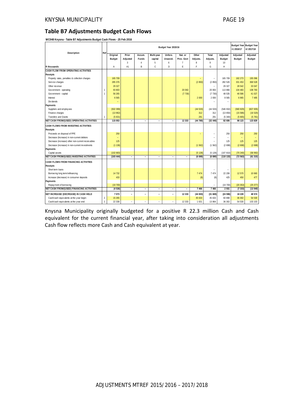#### **Table B7 Adjustments Budget Cash Flows**

**WC048 Knysna - Table B7 Adjustments Budget Cash Flows - 25 Feb 2016**

|                                                   | Ref            |               |                          |                |                | Budget Year 2015/16 |                |          |                          |               | +1 2016/17 | Budget Year Budget Year<br>+2 2017/18 |
|---------------------------------------------------|----------------|---------------|--------------------------|----------------|----------------|---------------------|----------------|----------|--------------------------|---------------|------------|---------------------------------------|
| Description                                       |                | Original      | Prior                    | Accum.         | Multi-year     | Unfore.             | Nat. or        | Other    | Total                    | Adjusted      | Adjusted   | Adjusted                              |
|                                                   |                | <b>Budget</b> | Adjusted                 | Funds          | capital        | Unavoid.            | Prov. Govt     | Adjusts. | Adjusts.                 | <b>Budget</b> | Budget     | Budget                                |
|                                                   |                |               | 3                        | $\overline{4}$ | 5              | 6                   | $\overline{7}$ | 8        | 9                        | 10            |            |                                       |
| R thousands                                       |                | Α             | A1                       | B              | C              | D                   | Ε              | F        | G                        | H             |            |                                       |
| CASH FLOW FROM OPERATING ACTIVITIES               |                |               |                          |                |                |                     |                |          |                          |               |            |                                       |
| Receipts                                          |                |               |                          |                |                |                     |                |          |                          |               |            |                                       |
| Property rates, penalties & collection charges    |                | 165 709       |                          |                |                |                     |                |          | $\overline{\phantom{a}}$ | 165 709       | 182 273    | 195 096                               |
| Service charges                                   |                | 285 376       |                          |                |                |                     |                | (2 850)  | (2 850)                  | 282 526       | 331 453    | 368 528                               |
| Other rev enue                                    |                | 29 3 27       |                          |                |                |                     |                |          | $\sim$                   | 29 327        | 28 542     | 33 047                                |
| Government - operating                            | $\mathbf{1}$   | 93 803        |                          |                |                |                     | 20 063         |          | 20 063                   | 113 866       | 104 483    | 108 783                               |
| Government - capital                              | 1              | 56 265        |                          |                |                |                     | (7730)         |          | (7730)                   | 48 535        | 46 586     | 41 027                                |
| Interest                                          |                | 6565          |                          |                |                |                     |                | 2 0 0 0  | 2 0 0 0                  | 8 5 6 5       | 6 9 6 5    | 7 4 8 5                               |
| Div idends                                        |                |               |                          |                |                |                     |                |          | ÷                        |               |            |                                       |
| Payments                                          |                |               |                          |                |                |                     |                |          |                          |               |            |                                       |
| Suppliers and employees                           |                | (502 399)     |                          |                |                |                     |                | (44533)  | (44533)                  | (546932)      | (580 929)  | (607835)                              |
| Finance charges                                   |                | (13962)       |                          |                |                |                     |                | 312      | 312                      | (13650)       | (15586)    | (16520)                               |
| <b>Transfers and Grants</b>                       |                | (5631)        |                          |                |                |                     |                | 291      | 291                      | (5340)        | (5665)     | (5781)                                |
| <b>NET CASH FROM/(USED) OPERATING ACTIVITIES</b>  |                | 115 053       | $\blacksquare$           | ÷.             | $\blacksquare$ | $\blacksquare$      | 12 3 3 3       | (44780)  | (32446)                  | 82 606        | 98 123     | 123 829                               |
| CASH FLOWS FROM INVESTING ACTIVITIES              |                |               |                          |                |                |                     |                |          |                          |               |            |                                       |
| <b>Receipts</b>                                   |                |               |                          |                |                |                     |                |          |                          |               |            |                                       |
| Proceeds on disposal of PPE                       |                | 250           |                          |                |                |                     |                | Ξ        |                          | 250           | 250        | 250                                   |
| Decrease (Increase) in non-current debtors        |                |               |                          |                |                |                     |                |          | $\equiv$                 |               | $=$        |                                       |
| Decrease (increase) other non-current receivables |                | 125           |                          |                |                |                     |                |          |                          | 125           | 125        | 125                                   |
| Decrease (increase) in non-current investments    |                | (1136)        |                          |                |                |                     |                | (1562)   | (1562)                   | (2698)        | (2698)     | (2698)                                |
| Payments                                          |                |               |                          |                |                |                     |                |          |                          |               |            |                                       |
| Capital assets                                    |                | (102683)      |                          |                |                |                     |                | (5128)   | (5128)                   | (107 810)     | (70240)    | (58992)                               |
| <b>NET CASH FROM/(USED) INVESTING ACTIVITIES</b>  |                | (103 444)     | $\overline{\phantom{a}}$ | $\overline{a}$ | $\overline{a}$ | $\sim$              |                | (6 690)  | (6690)                   | (110133)      | (72563)    | (61315)                               |
|                                                   |                |               |                          |                |                |                     |                |          |                          |               |            |                                       |
| CASH FLOWS FROM FINANCING ACTIVITIES              |                |               |                          |                |                |                     |                |          |                          |               |            |                                       |
| Receipts                                          |                |               |                          |                |                |                     |                |          |                          |               |            |                                       |
| Short term loans                                  |                |               |                          |                |                |                     |                |          | ÷                        |               |            |                                       |
| Borrow ing long term/refinancing                  |                | 14 7 32       |                          |                |                |                     |                | 7 4 7 4  | 7474                     | 22 20 6       | 12570      | 10 660                                |
| Increase (decrease) in consumer deposits          |                | 433           |                          |                |                |                     |                | (8)      | (8)                      | 425           | 450        | 477                                   |
| Payments                                          |                |               |                          |                |                |                     |                |          |                          |               |            |                                       |
| Repay ment of borrowing                           |                | (19700)       |                          |                |                |                     |                |          | $\overline{\phantom{0}}$ | (19700)       | (20353)    | (25077)                               |
| NET CASH FROM/(USED) FINANCING ACTIVITIES         |                | (4536)        | $\overline{\phantom{a}}$ | $\overline{a}$ | $\overline{a}$ | $\blacksquare$      | ÷.             | 7 4 6 6  | 7 4 6 6                  | 2 9 3 1       | (7333)     | (13940)                               |
| NET INCREASE/ (DECREASE) IN CASH HELD             |                | 7073          | $\equiv$                 | ٠              |                | $\sim$              | 12 3 3 3       | (44003)  | (31669)                  | (24596)       | 18 228     | 48 574                                |
| Cash/cash equivalents at the year begin:          | $\overline{2}$ | 15 26 5       |                          |                |                |                     |                | 45 633   | 45 633                   | 60 898        | 36 302     | 54 530                                |
| Cash/cash equivalents at the year end:            | $\overline{2}$ | 22 3 3 8      | ÷.                       | $\equiv$       | $\sim$         | ÷                   | 12 3 3 3       | 1 631    | 13 964                   | 36 302        | 54 530     | 103 103                               |

Knysna Municipality originally budgeted for a positive R 22.3 million Cash and Cash equivalent for the current financial year, after taking into consideration all adjustments Cash flow reflects more Cash and Cash equivalent at year.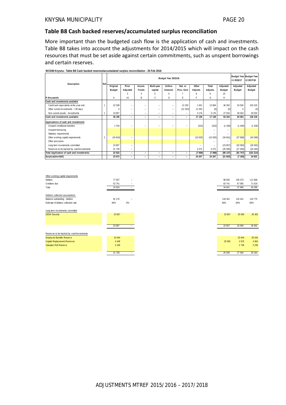#### **Table B8 Cash backed reserves/accumulated surplus reconciliation**

More important than the budgeted cash flow is the application of cash and investments. Table B8 takes into account the adjustments for 2014/2015 which will impact on the cash resources that must be set aside against certain commitments, such as unspent borrowings and certain reserves.

|                                            | Ref |          |                          |                          |            | Budget Year 2015/16 |                          |          |                          |                  | +1 2016/17 | Budget Year Budget Year<br>+2 2017/18 |
|--------------------------------------------|-----|----------|--------------------------|--------------------------|------------|---------------------|--------------------------|----------|--------------------------|------------------|------------|---------------------------------------|
| Description                                |     | Original | Prior                    | Accum.                   | Multi-year | Unfore.             | Nat. or                  | Other    | Total                    | Adjusted         | Adjusted   | Adjusted                              |
|                                            |     | Budget   | Adjusted                 | Funds                    | capital    | Unavoid.            | Prov. Govt               | Adjusts. | Adjusts.                 | Budget           | Budget     | Budget                                |
|                                            |     |          | 3                        |                          | 5          | 6                   |                          | R        | Q                        | 10 <sup>10</sup> |            |                                       |
| R thousands                                |     | Α        | A1                       | B                        | C          | D                   | E                        | F        | G                        | H                |            |                                       |
| Cash and investments available             |     |          |                          |                          |            |                     |                          |          |                          |                  |            |                                       |
| Cash/cash equivalents at the year end      |     | 22 338   | $\equiv$                 | -                        | -          | -                   | 12 3 3 3                 | 1631     | 13 964                   | 36 302           | 54 530     | 103 103                               |
| Other current investments > 90 days        |     | $\Omega$ | -                        | -                        | -          | -                   | (12333)                  | 12 3 3 3 | (0)                      | (0)              | 0          | (0)                                   |
| Non current assets - Investments           |     | 23 857   | -                        | -                        | -          | -                   |                          | 3 1 7 6  | 3 1 7 6                  | 27 033           | 30 033     | 33 033                                |
| Cash and investments available:            |     | 46 195   | -                        | $\overline{\phantom{a}}$ | -          | -                   | -                        | 17 139   | 17 139                   | 63 334           | 84 563     | 136 136                               |
| Applications of cash and investments       |     |          |                          |                          |            |                     |                          |          |                          |                  |            |                                       |
| Unspent conditional transfers              |     | 1 7 5 4  | -                        |                          |            |                     |                          | (315)    | (315)                    | (1439)           | (1439)     | (1439)                                |
| Unspent borrow ing                         |     |          |                          |                          |            |                     |                          |          |                          |                  |            |                                       |
| Statutory requirements                     |     |          |                          |                          |            |                     |                          |          |                          | -                |            |                                       |
| Other working capital requirements         |     | (24816)  | -                        |                          |            |                     |                          | (10025)  | (10025)                  | (34841)          | (37808)    | (40289)                               |
| Other provisions                           |     |          |                          |                          |            |                     |                          |          |                          |                  |            |                                       |
| Long term investments committed            |     | 23 857   | -                        |                          |            |                     |                          |          | $\overline{\phantom{0}}$ | (23857)          | (25050)    | (26 302)                              |
| Reserves to be backed by cash/investments  |     | 21 728   | -                        |                          |            |                     |                          | 3 2 7 2  | 3 2 7 2                  | (25000)          | (27450)    | (33184)                               |
| Total Application of cash and investments: |     | 22 5 23  | -                        | $\overline{\phantom{0}}$ | -          | -                   | $\overline{\phantom{0}}$ | (7068)   | (7068)                   | (85 137)         | (91747)    | (101214)                              |
| Surplus(shortfall)                         |     | 23 672   | $\overline{\phantom{0}}$ | $\overline{\phantom{0}}$ | -          | -                   |                          | 24 207   | 24 207                   | (21803)          | (7185)     | 34 922                                |

**WC048 Knysna - Table B8 Cash backed reserves/accumulated surplus reconciliation - 25 Feb 2016**

| Other working capital requirements        |           |                          |
|-------------------------------------------|-----------|--------------------------|
| Debtors                                   | 77 557    | -                        |
| Creditors due                             | 52 741    | -                        |
| Total                                     | 24 8 16   | Ξ.                       |
| Debtors collection assumptions:           |           |                          |
| Balance outstanding - debtors             | 92 176    | $\overline{\phantom{a}}$ |
| Estimate of debtors collection rate       | 84%       | 0%                       |
| Long term investments committed           |           |                          |
| <b>DBSA Security</b>                      | 23 857    |                          |
|                                           |           |                          |
|                                           | 23 857    |                          |
| Reserves to be backed by cash/investments |           |                          |
| Employee Benefits Reserve                 | 15 044    |                          |
| Capital Replacement Reserves              | 4 4 4 4 8 |                          |
| Valuation Roll Reserve                    | 2 2 3 6   |                          |
|                                           | 21 7 28   | ÷.                       |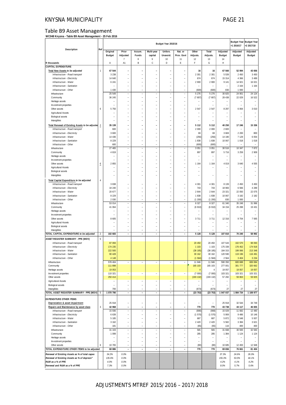#### KNYSNA MUNICIPALITY **PAGE 21**

#### Table B9 Asset Management

**WC048 Knysna - Table B9 Asset Management - 25 Feb 2016**

|                                                                           |                |                           |                                            |                                |                                | Budget Year 2015/16                        |                                            |                   |                           |                           | +1 2016/17                | Budget Year   Budget Year<br>+2 2017/18 |
|---------------------------------------------------------------------------|----------------|---------------------------|--------------------------------------------|--------------------------------|--------------------------------|--------------------------------------------|--------------------------------------------|-------------------|---------------------------|---------------------------|---------------------------|-----------------------------------------|
| Description                                                               | Ref            | Original<br><b>Budget</b> | Prior<br>Adjusted                          | Accum.<br>Funds                | Multi-year<br>capital          | Unfore.<br>Unavoid.                        | Nat. or<br>Prov. Govt                      | Other<br>Adjusts. | Total<br>Adjusts.         | Adjusted<br><b>Budget</b> | Adjusted<br><b>Budget</b> | Adjusted<br><b>Budget</b>               |
| R thousands                                                               |                | Α                         | $\overline{1}$<br>A1                       | 8<br>B                         | 9<br>C                         | 10<br>D                                    | 11<br>E                                    | 12<br>F           | 13<br>G                   | 14<br>Н                   |                           |                                         |
| <b>CAPITAL EXPENDITURE</b>                                                |                |                           |                                            |                                |                                |                                            |                                            |                   |                           |                           |                           |                                         |
| Total New Assets to be adjusted                                           | -1             | 67 544                    | Ē,                                         |                                |                                |                                            |                                            | 16                | 16                        | 67 560                    | 52 994                    | 43 656                                  |
| Infrastructure - Road transport<br>Infrastructure - Electricity           |                | 3 2 3 8<br>14 640         |                                            |                                |                                |                                            |                                            | 2 3 0 1<br>674    | 2 3 0 1<br>674            | 5 5 3 9<br>15 3 14        | 2 4 5 0<br>4 3 6 6        | 3 4 5 0<br>3 4 8 9                      |
| Infrastructure - Water                                                    |                | 6 2 4 1                   | ÷,                                         |                                | L.                             | ÷                                          | ÷,                                         | 2 900             | 2 900                     | 9 1 4 1                   | 14 921                    | 16 021                                  |
| Infrastructure - Sanitation                                               |                |                           | $\overline{a}$                             |                                |                                |                                            |                                            |                   |                           |                           | 2 1 6 4                   | 1 1 6 4                                 |
| Infrastructure - Other<br>Infrastructure                                  |                | 1 4 3 0<br>25 549         | L,<br>$\overline{a}$                       | L.                             | L,                             | L,<br>۰                                    | L,                                         | (600)<br>5 2 7 6  | (600)<br>5 2 7 6          | 830<br>30 825             | 1 000<br>24 901           | 24 124                                  |
| Community                                                                 |                | 36 245                    | ÷,                                         |                                | $\overline{a}$                 |                                            | $\overline{a}$<br>$\overline{a}$           | (7807)            | (7807)                    | 28 4 38                   | 22 029                    | 16 522                                  |
| Heritage assets                                                           |                |                           |                                            |                                |                                |                                            |                                            |                   |                           |                           |                           |                                         |
| Investment properties                                                     |                |                           | ÷,                                         |                                | L.                             | L.                                         | ÷,                                         |                   |                           |                           |                           |                                         |
| Other assets<br>Agricultural Assets                                       | 6              | 5 7 5 0                   | L,                                         |                                | L.                             | L.                                         | ÷,                                         | 2547              | 2 5 4 7                   | 8 2 9 7                   | 6 0 6 4                   | 3 0 1 0                                 |
| Biological assets                                                         |                |                           | ÷,                                         |                                | L.                             |                                            | ÷,                                         |                   |                           |                           |                           |                                         |
| Intangibles                                                               |                |                           | L.                                         |                                | L.                             | L.                                         | ÷,                                         |                   |                           |                           |                           |                                         |
| Total Renewal of Existing Assets to be adjusted                           | $\overline{2}$ | 35 139                    | L,                                         |                                | $\overline{a}$                 | $\overline{a}$                             | L,                                         | 5 1 1 2           | 5 1 1 2                   | 40 250                    | 17 246                    | 15 3 36                                 |
| Infrastructure - Road transport                                           |                | 600                       | Ē,                                         |                                |                                |                                            |                                            | 2 0 0 0           | 2 0 0 0                   | 2 600                     |                           |                                         |
| Infrastructure - Electricity                                              |                | 3 600                     | L.                                         |                                | L.                             |                                            | $\overline{a}$                             | 69                | 69                        | 3 6 6 9                   | 2 2 0 0                   | 800                                     |
| Infrastructure - Water<br>Infrastructure - Sanitation                     |                | 14 4 3 6<br>8 2 2 9       | $\overline{a}$                             |                                | L.                             | L,                                         | $\overline{a}$                             | (256)<br>1838     | (256)<br>1838             | 14 180<br>10 067          | 7 1 2 9<br>1 0 18         | 6 0 5 4<br>1018                         |
| Infrastructure - Other                                                    |                | 600                       | L,                                         | L.                             |                                | L,                                         |                                            | (600)             | (600)                     |                           |                           |                                         |
| Infrastructure                                                            |                | 27 465                    | $\overline{a}$                             |                                | Ĭ.                             | L.                                         | $\overline{a}$                             | 3 0 5 1           | 3 0 5 1                   | 30 516                    | 10 347                    | 7872                                    |
| Community                                                                 |                | 4819                      | $\equiv$                                   |                                | Ē,                             | L.                                         | L.                                         | 897               | 897                       | 5 7 1 6                   | 3 2 5 9                   | 2 9 0 9                                 |
| Heritage assets                                                           |                |                           |                                            |                                |                                |                                            |                                            |                   |                           |                           |                           |                                         |
| Investment properties<br>Other assets                                     |                | 2855                      | L.<br>L,                                   |                                | L.<br>Ē,                       | L.<br>L.                                   | ÷,<br>÷,                                   | 1 1 6 4           | 1 1 6 4                   | 4 0 1 9                   | 3 6 4 0                   | 4555                                    |
| Agricultural Assets                                                       | $\overline{6}$ |                           |                                            |                                |                                |                                            |                                            |                   |                           |                           |                           |                                         |
| Biological assets                                                         |                |                           | L.                                         |                                | ä,                             | L.                                         | ÷,                                         |                   |                           |                           |                           |                                         |
| Intangibles                                                               |                |                           | Ē,                                         |                                |                                | ۳                                          |                                            |                   |                           |                           |                           | ÷.                                      |
| Total Capital Expenditure to be adjusted                                  | 4              |                           |                                            |                                |                                |                                            |                                            |                   |                           |                           |                           |                                         |
| Infrastructure - Road transport                                           |                | 3 8 3 8                   | ÷                                          |                                |                                |                                            |                                            | 4 3 0 1           | 4 3 0 1                   | 8 1 3 9                   | 2 4 5 0                   | 3 4 5 0                                 |
| Infrastructure - Electricity                                              |                | 18 240                    | L.                                         |                                |                                |                                            |                                            | 743               | 743                       | 18 983                    | 6 5 6 6                   | 4 2 8 9                                 |
| Infrastructure - Water<br>Infrastructure - Sanitation                     |                | 20 677<br>8 2 2 9         | ÷,<br>$\overline{a}$                       | ۳                              | L.                             | L.                                         | ÷,                                         | 2 6 4 4<br>1838   | 2 6 4 4<br>1838           | 23 321<br>10 067          | 22 050<br>3 1 8 2         | 22 075<br>2 1 8 2                       |
| Infrastructure - Other                                                    |                | 2 0 3 0                   | $\overline{a}$                             | L.                             | L,                             | $\overline{a}$                             | L.                                         | (1200)            | (1 200)                   | 830                       | 1 000                     |                                         |
| Infrastructure                                                            |                | 53 014                    | $\overline{\phantom{0}}$                   |                                |                                | ÷                                          |                                            | 8 3 2 7           | 8 3 2 7                   | 61 340                    | 35 248                    | 31 996                                  |
| Community                                                                 |                | 41 064                    | ÷,                                         |                                | $\overline{a}$                 |                                            |                                            | (6910)            | (6910)                    | 34 154                    | 25 288                    | 19 431                                  |
| Heritage assets                                                           |                |                           |                                            |                                |                                |                                            |                                            |                   |                           |                           |                           |                                         |
| Investment properties<br>Other assets                                     |                | 8 6 0 5                   | L.<br>÷,                                   |                                | L.<br>L.                       | L.<br>L.                                   | ÷,<br>÷,                                   | 3 7 1 1           | 3 7 1 1                   | 12 3 16                   | 9 7 0 4                   | 7565                                    |
| Agricultural Assets                                                       |                |                           |                                            |                                |                                |                                            |                                            |                   |                           |                           |                           |                                         |
| Biological assets                                                         |                |                           | ÷,                                         |                                | L.                             | $\equiv$                                   | $\overline{a}$                             |                   |                           |                           |                           |                                         |
| Intangibles                                                               |                |                           | L,                                         |                                | L.                             | L.                                         |                                            |                   |                           |                           |                           |                                         |
| TOTAL CAPITAL EXPENDITURE to be adjusted                                  | $\overline{2}$ | 102 683                   | $\overline{\phantom{a}}$                   | ÷,                             | $\overline{\phantom{a}}$       | $\blacksquare$                             | $\overline{\phantom{a}}$                   | 5 1 2 8           | 5 1 28                    | 107 810                   | 70 240                    | 58 992                                  |
| ASSET REGISTER SUMMARY - PPE (WDV)                                        | 5              |                           |                                            |                                |                                |                                            |                                            |                   |                           |                           |                           |                                         |
| Infrastructure - Road transport<br>Infrastructure - Electricity           |                | 87 093<br>174 235         |                                            |                                |                                |                                            |                                            | 20 450<br>1 1 0 3 | 20 450<br>1 1 0 3         | 107 543<br>175 339        | 102 570<br>176 452        | 98 093<br>174 918                       |
| Infrastructure - Water                                                    |                | 222 500                   |                                            |                                |                                |                                            |                                            | (38185)           | (38185)                   | 184 315                   | 199 066                   | 213 348                                 |
| Infrastructure - Sanitation                                               |                | 90 428                    |                                            |                                |                                |                                            |                                            | 30 162            | 30.162                    | 120.590                   | 119 196                   | 116 491                                 |
| Infrastructure - Other                                                    |                | 4 1 4 8                   |                                            |                                |                                |                                            |                                            | (1584)            | (1584)                    | 2564                      | 3 4 0 4                   | 3 2 3 4                                 |
| Infrastructure                                                            |                | 578 404                   | $\overline{a}$                             | ÷,                             | $\overline{a}$                 | $\overline{a}$                             | $\overline{a}$                             | 11 946            | 11 946                    | 590 350                   | 600 688                   | 606 084                                 |
| Community<br>Heritage assets                                              |                | 111 898<br>19 053         |                                            |                                |                                |                                            |                                            | 165 103<br>4      | 165 103<br>$\overline{4}$ | 277 001<br>19 057         | 301 777<br>19 057         | 320 662<br>19 057                       |
| Investment properties                                                     |                | 110 321                   | $\frac{1}{2}$                              | $\overline{\phantom{a}}$       | $\overline{\phantom{a}}$       | $\overline{\phantom{a}}$                   | $\overline{\phantom{a}}$                   | (7000)            | (7000)                    | 103 321                   | 103 321                   | 103 321                                 |
| Other assets                                                              |                | 250 414                   |                                            |                                |                                |                                            |                                            | (193 132)         | (193 132)                 | 57 282                    | 59 863                    | 59 825                                  |
| Agricultural Assets                                                       |                |                           | $\equiv$                                   | $\equiv$                       | $\overline{a}$                 | $\overline{a}$                             | $\overline{a}$                             |                   |                           |                           |                           |                                         |
| Biological assets                                                         |                |                           | $\overline{a}$                             | ۰                              |                                | $\overline{\phantom{a}}$                   |                                            |                   |                           |                           |                           |                                         |
| Intangibles<br>TOTAL ASSET REGISTER SUMMARY - PPE (WDV) 5                 |                | 700<br>1 070 790          | $\overline{a}$<br>$\overline{\phantom{a}}$ | ä,<br>$\overline{\phantom{a}}$ | Ē,<br>$\overline{\phantom{a}}$ | $\overline{a}$<br>$\overline{\phantom{a}}$ | ÷,<br>$\overline{\phantom{a}}$             | (673)<br>(23753)  | (673)<br>(23753)          | 27<br>1 047 037           | 27<br>1 084 734           | 27<br>1 108 977                         |
|                                                                           |                |                           |                                            |                                |                                |                                            |                                            |                   |                           |                           |                           |                                         |
| <b>EXPENDITURE OTHER ITEMS</b>                                            |                |                           |                                            |                                |                                |                                            |                                            |                   |                           |                           |                           |                                         |
| Depreciation & asset impairment                                           | 3              | 25 918                    |                                            |                                |                                |                                            |                                            | 770               |                           | 25 918<br>43 738          | 32 544<br>44 117          | 34 749<br>46 655                        |
| Repairs and Maintenance by asset class<br>Infrastructure - Road transport |                | 42 968<br>15 936          | $\overline{a}$<br>$\qquad \qquad -$        | $\equiv$<br>$\equiv$           | $\sim$<br>$\overline{a}$       | $\sim$<br>$\equiv$                         | $\overline{\phantom{a}}$<br>$\overline{a}$ | (908)             | 770<br>(908)              | 15 0 29                   | 11 682                    | 12 480                                  |
| Infrastructure - Electricity                                              |                | 6 6 3 9                   | $\overline{a}$                             | $\overline{a}$                 | Ē,                             | $\overline{a}$                             | $\overline{a}$                             | (1570)            | (1570)                    | 5 0 6 9                   | 9 4 8 6                   | 10 146                                  |
| Infrastructure - Water                                                    |                | 5 1 8 5                   | $\overline{a}$                             | $\equiv$                       | L.                             | $\overline{a}$                             | $\overline{a}$                             | 687               | 687                       | 5 8 7 2                   | 5 5 4 8                   | 5937                                    |
| Infrastructure - Sanitation                                               |                | 3 1 6 2                   | $\overline{a}$                             |                                |                                | L.                                         | L.                                         | 2 4 2 0           | 2 4 2 0                   | 5 5 8 2                   | 3 3 8 4                   | 3 6 21                                  |
| Infrastructure - Other                                                    |                | 181                       | $\overline{a}$                             | ÷.                             | ÷,                             | ÷.                                         | ÷,                                         | (65)              | (65)                      | 116                       | 400                       | 400                                     |
| Infrastructure<br>Community                                               |                | 31 103<br>1 0 9 9         | $\overline{a}$<br>$\overline{a}$           |                                | $\equiv$                       | $\equiv$                                   | $\equiv$                                   | 565<br>285        | 565<br>285                | 31 668<br>1 3 8 4         | 30 500<br>1 1 2 4         | 32 583<br>1 1 2 4                       |
| Heritage assets                                                           |                |                           | ÷,                                         | $\equiv$                       | L.                             | L.                                         |                                            | $\equiv$          | ä,                        |                           |                           |                                         |
| Investment properties                                                     |                |                           | ÷,                                         | ۰                              |                                | $\overline{\phantom{a}}$                   |                                            |                   |                           |                           |                           |                                         |
| Other assets                                                              | 6              | 10 765                    | $\overline{a}$                             | ÷                              | ä,                             | $\overline{a}$                             | ÷,                                         | (80)              | (80)                      | 10 685                    | 12 493                    | 12 948                                  |
| TOTAL EXPENDITURE OTHER ITEMS to be adjusted                              |                | 68 886                    | $\overline{\phantom{a}}$                   | $\overline{\phantom{a}}$       | $\sim$                         | $\sim$                                     | $\overline{\phantom{a}}$                   | 770               | 770                       | 69 656                    | 76 661                    | 81 404                                  |
| Renewal of Existing Assets as % of total capex                            |                | 34.2%                     | 0.0%                                       |                                |                                |                                            |                                            |                   |                           | 37.3%                     | 24.6%                     | 26.0%                                   |
| Renewal of Existing Assets as % of deprecn"                               |                | 135.6%                    | 0.0%                                       |                                |                                |                                            |                                            |                   |                           | 155.3%                    | 53.0%                     | 44.1%                                   |
| R&M as a % of PPE<br>Renewal and R&M as a % of PPE                        |                | 4.0%<br>7.3%              | 0.0%<br>0.0%                               |                                |                                |                                            |                                            |                   |                           | 4.2%<br>8.0%              | 4.1%<br>5.7%              | 4.2%<br>5.6%                            |
|                                                                           |                |                           |                                            |                                |                                |                                            |                                            |                   |                           |                           |                           |                                         |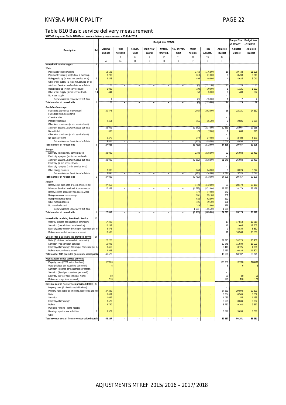#### KNYSNA MUNICIPALITY **PAGE 22**

#### Table B10 Basic service delivery measurement

**WC048 Knysna - Table B10 Basic service delivery measurement - 25 Feb 2016**

|                                                                                                  |            |                    |                          |                               |                                            | Budget Year 2015/16        |                                            |                          |                       |                   | <b>Budget Year</b><br>+1 2016/17 | <b>Budget Year</b><br>+2 2017/18 |
|--------------------------------------------------------------------------------------------------|------------|--------------------|--------------------------|-------------------------------|--------------------------------------------|----------------------------|--------------------------------------------|--------------------------|-----------------------|-------------------|----------------------------------|----------------------------------|
| Description                                                                                      | Ref        | Original           | Prior                    | Accum.                        | Multi-year                                 | Unfore.                    | Nat. or Prov.                              | Other                    | Total                 | Adjusted          | Adjusted                         | Adjusted                         |
|                                                                                                  |            | <b>Budget</b>      | Adjusted                 | Funds                         | capital                                    | Unavoid.                   | Govt                                       | Adjusts.                 | Adjusts.              | <b>Budget</b>     | <b>Budget</b>                    | Budget                           |
|                                                                                                  |            |                    | $\overline{7}$           | $\, 8$                        | 9                                          | 10                         | 11                                         | 12                       | 13                    | 14                |                                  |                                  |
| Household service targets                                                                        |            | Α                  | A1                       | B                             | C                                          | D                          | E                                          | F                        | G                     | Η                 |                                  |                                  |
| Water:                                                                                           |            |                    |                          |                               |                                            |                            |                                            |                          |                       |                   |                                  |                                  |
| Piped water inside dwelling                                                                      |            | 18 103             |                          |                               |                                            |                            |                                            | $-1762$                  | (1762.00)             | 16                | 19 732                           | 21 508                           |
| Piped water inside yard (but not in dwelling)                                                    |            | 3 2 0 9            |                          |                               |                                            |                            |                                            | $-310$                   | (310.00)              | 3                 | 3 4 9 8                          | 3813                             |
| Using public tap (at least min.service level)<br>Other water supply (at least min.service level) | $\sqrt{2}$ | 4 2 4 3            |                          |                               |                                            |                            |                                            | $-499$                   | (499.00)              | $\sqrt{4}$        | 4 6 25                           | 5 0 4 1                          |
| Minimum Service Level and Above sub-total                                                        |            | $\overline{26}$    |                          | $\overline{\phantom{0}}$      | $\overline{a}$                             | $\overline{a}$             | $\qquad \qquad -$                          | (3)                      | (2571.00)             | 23                | $\overline{28}$                  | 30                               |
| Using public tap (< min.service level)                                                           | $\sqrt{3}$ | 1029               |                          |                               |                                            |                            |                                            | $-100$                   | (100.00)              | 1                 | 1 1 2 1                          | 1 2 2 2                          |
| Other water supply (< min.service level)<br>No water supply                                      | 3,4        | 441                |                          |                               |                                            |                            |                                            | $-59$                    | (59.00)               | $\bf 0$           | 480                              | 524                              |
| Below Minimum Servic Level sub-total                                                             |            | T                  |                          |                               |                                            |                            |                                            | $\overline{(0)}$         | (159.00)              | T                 | $\overline{2}$                   | $\overline{2}$                   |
| Total number of households                                                                       | 5          | 27                 |                          |                               |                                            |                            |                                            | $\overline{(3)}$         | (2730.00)             | $\overline{24}$   | 29                               | $\overline{32}$                  |
| Sanitation/sewerage:                                                                             |            |                    |                          |                               |                                            |                            |                                            |                          |                       |                   |                                  |                                  |
| Flush toilet (connected to sewerage)                                                             |            | 20 478             |                          |                               |                                            |                            |                                            | $-2024$                  | (2024.00)             | 18                | 22 3 21                          | 24 330                           |
| Flush toilet (with septic tank)                                                                  |            |                    |                          |                               |                                            |                            |                                            |                          |                       | ÷.                |                                  |                                  |
| Chemical toilet<br>Pit toilet (ventilated)                                                       |            | 2 4 6 4            |                          |                               |                                            |                            |                                            | $-355$                   | (355.00)              | $\overline{2}$    | 2686                             | 2 9 2 8                          |
| Other toilet provisions (> min.service level)                                                    |            |                    |                          |                               |                                            |                            |                                            |                          |                       |                   |                                  |                                  |
| Minimum Service Level and Above sub-total                                                        |            | 22 942             |                          |                               |                                            |                            |                                            | (2379)                   | (2379.00)             | 20 563            | 25 007                           | 27 258                           |
| <b>Bucket toilet</b><br>Other toilet provisions (< min.service level)                            |            | 606                |                          |                               |                                            |                            |                                            | $-78$                    | (78.00)               | $\mathbf{1}$      | 660                              | 720                              |
| No toilet provisions                                                                             |            | 3 4 7 6            |                          |                               |                                            |                            |                                            | $-272$                   | (272.00)              | 3                 | 3789                             | 4 1 3 0                          |
| Below Minimum Servic Level sub-total                                                             |            | 4 082              | ÷,                       | $\overline{\phantom{a}}$      | $\overline{\phantom{a}}$                   | $\overline{\phantom{a}}$   | $\overline{\phantom{a}}$                   | (350)                    | (350.00)              | 3732              | 4 4 5 0                          | 4 8 5 0                          |
| Total number of households                                                                       | 5          | 27 025             | $\overline{\phantom{a}}$ | $\overline{\phantom{a}}$      | $\overline{\phantom{0}}$                   | $\overline{\phantom{a}}$   | $\blacksquare$                             | (2729)                   | (2729.00)             | 24 296            | 29 457                           | 32 108                           |
| Energy:                                                                                          |            |                    |                          |                               |                                            |                            |                                            |                          |                       |                   |                                  |                                  |
| Electricity (at least min. service level)                                                        |            | 23 930             |                          |                               |                                            |                            |                                            | $-2382$                  | (2382.00)             | 22                | 26 083                           | 28 431                           |
| Electricity - prepaid (> min.service level)<br>Minimum Service Level and Above sub-total         |            | 23 930             |                          | ۰                             | ٠                                          | -                          | -                                          | (2382)                   | (2382.00)             | 21 548            | 26 083                           | 28 431                           |
| Electricity (< min.service level)                                                                |            |                    |                          |                               |                                            |                            |                                            |                          |                       |                   |                                  |                                  |
| Electricity - prepaid (< min. service level)                                                     |            |                    |                          |                               |                                            |                            |                                            |                          |                       |                   |                                  |                                  |
| Other energy sources                                                                             |            | 3 0 9 5<br>3 0 9 5 |                          |                               |                                            |                            |                                            | $-348$                   | (348.00)              | $\overline{3}$    | 3 3 7 4<br>3374                  | 3 677                            |
| Below Minimum Servic Level sub-total<br>Total number of households                               | 5          | 27 025             |                          | -                             | $\overline{a}$                             | ÷,                         | ÷,                                         | (348)<br>(2730)          | (348.00)<br>(2730.00) | 2747<br>24 295    | 29 457                           | 3677<br>32 108                   |
| Refuse:                                                                                          |            |                    |                          |                               |                                            |                            |                                            |                          |                       |                   |                                  |                                  |
| Removed at least once a week (min.service)                                                       |            | 27 353             |                          |                               |                                            |                            |                                            | $-4723$                  | (4723.00)             | 23                | 28 179                           | 28 179                           |
| Minimum Service Level and Above sub-total                                                        |            | 27 353             |                          |                               |                                            | Ξ                          |                                            | (4723)                   | (4723.00)             | 22 630            | 28 179                           | 28 179                           |
| Removed less frequently than once a week                                                         |            |                    |                          |                               |                                            |                            |                                            | 172                      | 172.00                | 172               |                                  |                                  |
| Using communal refuse dump<br>Using own refuse dump                                              |            |                    |                          |                               |                                            |                            |                                            | 351<br>622               | 351.00<br>622.00      | 351<br>622        |                                  |                                  |
| Other rubbish disposal                                                                           |            |                    |                          |                               |                                            |                            |                                            | 191                      | 191.00                | 191               |                                  |                                  |
| No rubbish disposal                                                                              |            |                    |                          |                               |                                            |                            |                                            | 329                      | 329.00                | 329               |                                  |                                  |
| Below Minimum Servic Level sub-total<br>Total number of households                               | 5          | 27 353             | $\overline{\phantom{a}}$ | $\overline{\phantom{a}}$<br>- | $\overline{\phantom{a}}$<br>$\overline{a}$ | $\equiv$<br>$\overline{a}$ | $\overline{\phantom{a}}$<br>$\overline{a}$ | 1665<br>(3058)           | 1 665.00<br>(3058.00) | 1665<br>24 295    | 28 179                           | 28 179                           |
|                                                                                                  |            |                    |                          |                               |                                            |                            |                                            |                          |                       |                   |                                  |                                  |
| Households receiving Free Basic Service                                                          | 15         |                    |                          |                               |                                            |                            |                                            |                          |                       |                   |                                  |                                  |
| Water (6 kilolitres per household per month)<br>Sanitation (free minimum level service)          |            | 17 299<br>12 237   |                          |                               |                                            |                            |                                            |                          |                       | 17<br>12          | 17818<br>12 605                  | 17818<br>12 605                  |
| Electricity/other energy (50kwh per household per md                                             |            | 8 5 7 3            |                          |                               |                                            |                            |                                            |                          |                       | 9                 | 8 8 3 0                          | 8 8 3 0                          |
| Refuse (removed at least once a week)                                                            |            | 10 568             |                          |                               |                                            |                            |                                            |                          | ÷                     | 11                | 10 568                           | 10 568                           |
| Cost of Free Basic Services provided (R'000)                                                     | 16         |                    |                          |                               |                                            |                            |                                            |                          |                       |                   |                                  |                                  |
| Water (6 kilolitres per household per month)                                                     |            | 22 2 25            |                          |                               |                                            |                            |                                            |                          | ¥                     | 22 225            | 24 225                           | 26 406                           |
| Sanitation (free sanitation service)<br>Electricity/other energy (50kwh per household per md     |            | 10 945<br>3 4 1 8  |                          |                               |                                            |                            |                                            |                          | ÷                     | 10 945<br>3 4 1 8 | 11 930<br>3725                   | 13 003<br>4 0 6 1                |
| Refuse (removed once a week)                                                                     |            | 9 9 3 3            |                          |                               |                                            |                            |                                            |                          |                       | 9 9 3 3           | 10 826                           | 11 801                           |
| Total cost of FBS provided (minimum social packaj                                                |            | 46 520             |                          |                               |                                            |                            |                                            |                          |                       | 46 520            | 50 707                           | 55 271                           |
| Highest level of free service provided                                                           |            |                    |                          |                               |                                            |                            |                                            |                          |                       |                   |                                  |                                  |
| Property rates (R'000 value threshold)<br>Water (kilolitres per household per month)             |            | 100000             |                          |                               |                                            |                            |                                            |                          |                       | 100 000           | 100000                           | 100000                           |
| Sanitation (kilolitres per household per month)                                                  |            |                    |                          |                               |                                            |                            |                                            |                          |                       | 6                 |                                  | 6                                |
| Sanitation (Rand per household per month)                                                        |            |                    |                          |                               |                                            |                            |                                            |                          | ÷                     |                   |                                  |                                  |
| Electricity (kw per household per month)                                                         |            | 50                 |                          |                               |                                            |                            |                                            |                          | ÷                     | 50                | 50                               | 50                               |
| Refuse (average litres per week)                                                                 |            | 170                |                          |                               |                                            |                            |                                            |                          | ÷                     | 170               | 170                              | 170                              |
| Revenue cost of free services provided (R'000) 17<br>Property rates (R15 000 threshold rebate)   |            |                    |                          |                               |                                            |                            |                                            |                          | ¥                     |                   |                                  |                                  |
| Property rates (other ex emptions, reductions and reba                                           |            | 27 239             |                          |                               |                                            |                            |                                            |                          |                       | 27 239            | 29 893                           | 29 893                           |
| Water                                                                                            |            | 8 0 8 4            |                          |                               |                                            |                            |                                            |                          | ÷                     | 8 0 8 4           | 8569                             | 8 5 6 9                          |
| Sanitation                                                                                       |            | 1 0 8 9            |                          |                               |                                            |                            |                                            |                          |                       | 1 0 8 9           | 1 1 5 5                          | 1 1 5 5                          |
| Electricity/other energy<br>Refuse                                                               |            | 3529<br>8 7 5 0    |                          |                               |                                            |                            |                                            |                          |                       | 3529<br>8 7 5 0   | 3 6 3 4<br>9 3 6 2               | 3 6 3 4<br>9 3 6 2               |
| Municipal Housing - rental rebates                                                               |            |                    |                          |                               |                                            |                            |                                            |                          | ÷                     |                   |                                  |                                  |
| Housing - top structure subsidies                                                                | 6          | 3577               |                          |                               |                                            |                            |                                            |                          | ÷                     | 3577              | 3 6 3 8                          | 3 6 3 8                          |
| Other                                                                                            |            |                    |                          |                               |                                            |                            |                                            |                          |                       |                   |                                  |                                  |
| Total revenue cost of free services provided (total s                                            |            | 52 267             | $\overline{\phantom{a}}$ | ÷.                            | $\overline{\phantom{0}}$                   | $\overline{\phantom{a}}$   | $\overline{\phantom{a}}$                   | $\overline{\phantom{0}}$ | $\blacksquare$        | 52 267            | 56 251                           | 56 251                           |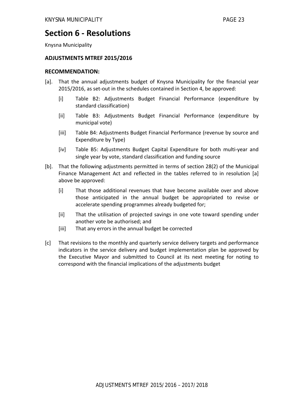### **Section 6 ‐ Resolutions**

Knysna Municipality

#### **ADJUSTMENTS MTREF 2015/2016**

#### **RECOMMENDATION:**

- [a]. That the annual adjustments budget of Knysna Municipality for the financial year 2015/2016, as set‐out in the schedules contained in Section 4, be approved:
	- [i] Table B2: Adjustments Budget Financial Performance (expenditure by standard classification)
	- [ii] Table B3: Adjustments Budget Financial Performance (expenditure by municipal vote)
	- [iii] Table B4: Adjustments Budget Financial Performance (revenue by source and Expenditure by Type)
	- [iv] Table B5: Adjustments Budget Capital Expenditure for both multi-year and single year by vote, standard classification and funding source
- [b]. That the following adjustments permitted in terms of section 28(2) of the Municipal Finance Management Act and reflected in the tables referred to in resolution [a] above be approved:
	- [i] That those additional revenues that have become available over and above those anticipated in the annual budget be appropriated to revise or accelerate spending programmes already budgeted for;
	- [ii] That the utilisation of projected savings in one vote toward spending under another vote be authorised; and
	- [iii] That any errors in the annual budget be corrected
- [c] That revisions to the monthly and quarterly service delivery targets and performance indicators in the service delivery and budget implementation plan be approved by the Executive Mayor and submitted to Council at its next meeting for noting to correspond with the financial implications of the adjustments budget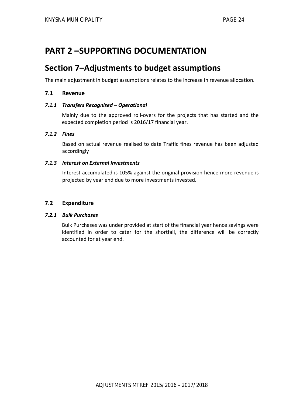## **PART 2 –SUPPORTING DOCUMENTATION**

## **Section 7–Adjustments to budget assumptions**

The main adjustment in budget assumptions relates to the increase in revenue allocation.

#### **7.1 Revenue**

#### *7.1.1 Transfers Recognised – Operational*

Mainly due to the approved roll‐overs for the projects that has started and the expected completion period is 2016/17 financial year.

#### *7.1.2 Fines*

Based on actual revenue realised to date Traffic fines revenue has been adjusted accordingly

#### *7.1.3 Interest on External Investments*

Interest accumulated is 105% against the original provision hence more revenue is projected by year end due to more investments invested.

#### **7.2 Expenditure**

#### *7.2.1 Bulk Purchases*

Bulk Purchases was under provided at start of the financial year hence savings were identified in order to cater for the shortfall, the difference will be correctly accounted for at year end.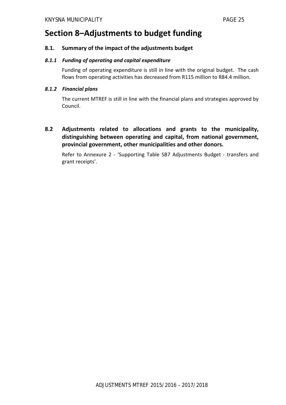## **Section 8–Adjustments to budget funding**

#### **8.1. Summary of the impact of the adjustments budget**

#### *8.1.1 Funding of operating and capital expenditure*

Funding of operating expenditure is still in line with the original budget. The cash flows from operating activities has decreased from R115 million to R84.4 million.

#### *8.1.2 Financial plans*

The current MTREF is still in line with the financial plans and strategies approved by Council.

**8.2 Adjustments related to allocations and grants to the municipality, distinguishing between operating and capital, from national government, provincial government, other municipalities and other donors.**

Refer to Annexure 2 - 'Supporting Table SB7 Adjustments Budget - transfers and grant receipts'.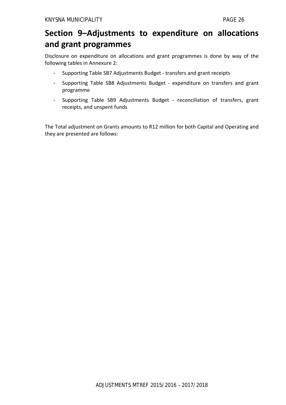## **Section 9–Adjustments to expenditure on allocations and grant programmes**

Disclosure on expenditure on allocations and grant programmes is done by way of the following tables in Annexure 2:

- Supporting Table SB7 Adjustments Budget ‐ transfers and grant receipts
- Supporting Table SB8 Adjustments Budget ‐ expenditure on transfers and grant programme
- Supporting Table SB9 Adjustments Budget ‐ reconciliation of transfers, grant receipts, and unspent funds

The Total adjustment on Grants amounts to R12 million for both Capital and Operating and they are presented are follows: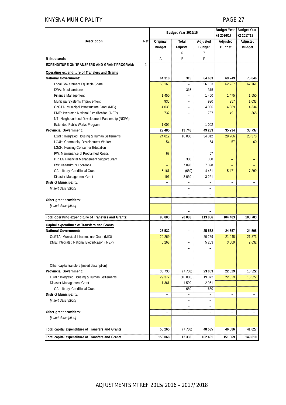#### KNYSNA MUNICIPALITY **PAGE 27**

|                                                                   |              | Budget Year 2015/16      |                          |                   | Budget Year   Budget Year |               |
|-------------------------------------------------------------------|--------------|--------------------------|--------------------------|-------------------|---------------------------|---------------|
|                                                                   |              |                          |                          |                   | +1 2016/17                | +2 2017/18    |
| Description                                                       | Ref          | Original                 | Total                    | Adjusted          | Adjusted                  | Adjusted      |
|                                                                   |              | <b>Budget</b>            | Adjusts.                 | <b>Budget</b>     | <b>Budget</b>             | <b>Budget</b> |
|                                                                   |              |                          | 6                        | $\overline{7}$    |                           |               |
| R thousands<br><b>EXPENDITURE ON TRANSFERS AND GRANT PROGRAM:</b> | $\mathbf{1}$ | Α                        | E                        | F                 |                           |               |
|                                                                   |              |                          |                          |                   |                           |               |
| Operating expenditure of Transfers and Grants                     |              |                          |                          |                   |                           |               |
| National Government:                                              |              | 64 318                   | 315                      | 64 633            | 69 249                    | 75 046        |
| Local Gov ernment Equitable Share                                 |              | 56 163                   |                          | 56 163            | 62 237                    | 67 761        |
| DWA: Masibambane                                                  |              |                          | 315                      | 315               |                           |               |
| Finance Management                                                |              | 1 450                    |                          | 1 4 5 0           | 1 4 7 5                   | 1 5 5 0       |
| Municipal Systems Improvement                                     |              | 930                      |                          | 930               | 957                       | 1 0 3 3       |
| CoGTA: Municipal Infrastructure Grant (MIG)                       |              | 4 0 3 6                  |                          | 4 0 3 6           | 4 0 8 9                   | 4 3 3 4       |
| DME: Integrated National Electrification (INEP)                   |              | 737                      |                          | 737               | 491                       | 368           |
| NT: Neighbourhood Development Partnership (NDPG)                  |              |                          |                          |                   |                           |               |
| Extended Public Works Program                                     |              | 1 0 0 2                  |                          | 1 0 0 2           |                           |               |
| <b>Provincial Government:</b>                                     |              | 29 48 5                  | 19 748                   | 49 233            | 35 234                    | 33 737        |
| LG&H: Integrated Housing & Human Settlements                      |              | 24 012                   | 10 000                   | 34 012            | 29 706                    | 26 378        |
| LG&H: Community Development Worker                                |              | 54                       |                          | 54                | 57                        | 60            |
| LG&H: Housing Consumer Education                                  |              |                          |                          |                   |                           |               |
| PW: Maintenance of Proclaimed Roads                               |              | 67                       |                          | 67                |                           |               |
| PT: LG Financial Management Support Grant                         |              |                          | 300                      | 300               |                           |               |
| PW: Hazardrous Locations                                          |              |                          | 7 0 9 8                  | 7 0 9 8           |                           |               |
| CA: Library Conditional Grant                                     |              | 5 1 6 1                  | (680)                    | 4 4 8 1           | 5 4 7 1                   | 7 2 9 9       |
| Disaster Management Grant                                         |              | 191                      | 3 0 3 0                  | 3 2 2 1           |                           |               |
| <b>District Municipality:</b>                                     |              |                          |                          |                   | ۳                         |               |
| [insert description]                                              |              |                          |                          |                   |                           |               |
|                                                                   |              |                          |                          |                   |                           |               |
| Other grant providers:                                            |              | $\overline{\phantom{0}}$ |                          | $\qquad \qquad -$ | $\qquad \qquad -$         |               |
| [insert description]                                              |              |                          |                          |                   |                           |               |
|                                                                   |              |                          |                          |                   |                           |               |
| Total operating expenditure of Transfers and Grants:              |              | 93 803                   | 20 063                   | 113 866           | 104 483                   | 108 783       |
| Capital expenditure of Transfers and Grants                       |              |                          |                          |                   |                           |               |
| <b>National Government:</b>                                       |              | 25 532                   | $\overline{\phantom{0}}$ | 25 532            | 24 557                    | 24 505        |
| CoGTA: Municipal Infrastructure Grant (MIG)                       |              | 20 26 9                  | $\overline{\phantom{0}}$ | 20 269            | 21 048                    | 21 873        |
| DME: Integrated National Electrification (INEP)                   |              | 5 263                    |                          | 5 263             | 3.509                     | 2632          |
|                                                                   |              |                          |                          |                   |                           |               |
|                                                                   |              |                          |                          |                   |                           |               |
|                                                                   |              |                          |                          |                   |                           |               |
| Other capital transfers [insert description]                      |              |                          |                          |                   |                           |               |
| <b>Provincial Government:</b>                                     |              | 30 733                   | (7730)                   | 23 003            | 22 0 29                   | 16 522        |
| LG&H: Integrated Housing & Human Settlements                      |              | 29 372                   | (10000)                  | 19 372            | 22 0 29                   | 16 522        |
| Disaster Management Grant                                         |              | 1 3 6 1                  | 1590                     | 2 9 5 1           |                           |               |
| CA: Library Conditional Grant                                     |              |                          | 680                      | 680               |                           |               |
| <b>District Municipality:</b>                                     |              |                          |                          |                   |                           |               |
| [insert description]                                              |              |                          |                          |                   |                           |               |
|                                                                   |              |                          |                          |                   |                           |               |
| Other grant providers:                                            |              |                          |                          |                   |                           |               |
| [insert description]                                              |              |                          |                          |                   |                           |               |
|                                                                   |              |                          |                          |                   |                           |               |
| Total capital expenditure of Transfers and Grants                 |              | 56 265                   | (7730)                   | 48 535            | 46 586                    | 41 027        |
| Total capital expenditure of Transfers and Grants                 |              | 150 068                  | 12 3 33                  | 162 401           | 151 069                   | 149 810       |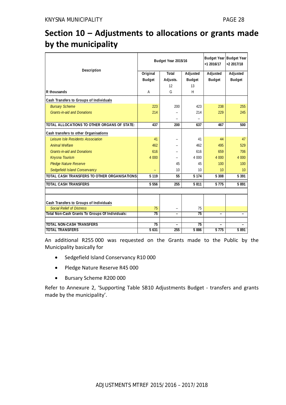## **Section 10 – Adjustments to allocations or grants made by the municipality**

| Description                                     |                 | Budget Year 2015/16 | $+12016/17$   | Budget Year Budget Year<br>$+22017/18$ |               |
|-------------------------------------------------|-----------------|---------------------|---------------|----------------------------------------|---------------|
|                                                 | Original        | Total               | Adjusted      | Adjusted                               | Adjusted      |
|                                                 | <b>Budget</b>   | Adjusts.            | <b>Budget</b> | <b>Budget</b>                          | <b>Budget</b> |
|                                                 |                 | 12                  | 13            |                                        |               |
| R thousands                                     | A               | G                   | H             |                                        |               |
| Cash Transfers to Groups of Individuals         |                 |                     |               |                                        |               |
| <b>Bursary Scheme</b>                           | 223             | 200                 | 423           | 238                                    | 255           |
| <b>Grants-in-aid and Donations</b>              | 214             |                     | 214           | 229                                    | 245           |
|                                                 |                 |                     |               |                                        |               |
| TOTAL ALLOCATIONS TO OTHER ORGANS OF STATE:     | 437             | 200                 | 637           | 467                                    | 500           |
| Cash transfers to other Organisations           |                 |                     |               |                                        |               |
| Leisure Isle Residents Association              | 41              |                     | 41            | 44                                     | 47            |
| <b>Animal Welfare</b>                           | 462             |                     | 462           | 495                                    | 529           |
| <b>Grants-in-aid and Donations</b>              | 616             |                     | 616           | 659                                    | 706           |
| <b>Knysna Tourism</b>                           | 4 0 0 0         |                     | 4 0 0 0       | 4 0 0 0                                | 4 0 0 0       |
| <b>Pledge Nature Reserve</b>                    |                 | 45                  | 45            | 100                                    | 100           |
| Sedgefield Island Conservancy                   |                 | 10                  | 10            | 10                                     | 10            |
| TOTAL CASH TRANSFERS TO OTHER ORGANISATIONS:    | 5 1 1 9         | 55                  | 5 1 7 4       | 5 3 0 8                                | 5 3 9 1       |
| <b>TOTAL CASH TRANSFERS</b>                     | 5 5 5 6         | 255                 | 5811          | 5 7 7 5                                | 5891          |
|                                                 |                 |                     |               |                                        |               |
| Cash Transfers to Groups of Individuals         |                 |                     |               |                                        |               |
| <b>Social Relief of Distress</b>                | 75              |                     | 75            |                                        |               |
| Total Non-Cash Grants To Groups Of Individuals: | $\overline{75}$ | -                   | 75            | $\overline{\phantom{0}}$               |               |
|                                                 |                 |                     |               |                                        |               |
| <b>TOTAL NON-CASH TRANSFERS</b>                 | 75              |                     | 75<br>5886    |                                        |               |
| <b>TOTAL TRANSFERS</b>                          | 5 631           | 255                 | 5775          | 5891                                   |               |

An additional R255 000 was requested on the Grants made to the Public by the Municipality basically for

- Sedgefield Island Conservancy R10 000
- Pledge Nature Reserve R45 000
- Bursary Scheme R200 000

Refer to Annexure 2, 'Supporting Table SB10 Adjustments Budget - transfers and grants made by the municipality'.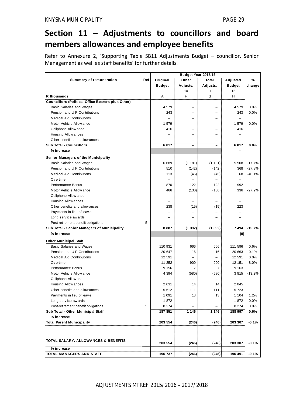## **Section 11 – Adjustments to councillors and board members allowances and employee benefits**

Refer to Annexure 2, 'Supporting Table SB11 Adjustments Budget – councillor, Senior Management as well as staff benefits' for further details.

|                                                   |     | Budget Year 2015/16      |                          |                          |                          |          |
|---------------------------------------------------|-----|--------------------------|--------------------------|--------------------------|--------------------------|----------|
| Summary of remuneration                           | Ref | Original                 | Other                    | Total                    | Adjusted                 | %        |
|                                                   |     | <b>Budget</b>            | Adjusts.                 | Adjusts.                 | <b>Budget</b>            | change   |
|                                                   |     |                          | 10                       | 11                       | 12                       |          |
| R thousands                                       |     | Α                        | F                        | G                        | Н                        |          |
| Councillors (Political Office Bearers plus Other) |     |                          |                          |                          |                          |          |
| Basic Salaries and Wages                          |     | 4579                     | $\overline{\phantom{0}}$ | $\overline{\phantom{0}}$ | 4579                     | 0.0%     |
| Pension and UIF Contributions                     |     | 243                      |                          |                          | 243                      | 0.0%     |
| Medical Aid Contributions                         |     |                          |                          |                          |                          |          |
| Motor Vehicle Allow ance                          |     | 1 579                    |                          |                          | 1579                     | 0.0%     |
| Cellphone Allow ance                              |     | 416                      | $\overline{\phantom{0}}$ |                          | 416                      |          |
| Housing Allow ances                               |     |                          |                          |                          |                          |          |
| Other benefits and allow ances                    |     |                          |                          |                          |                          |          |
| Sub Total - Councillors                           |     | 6817                     |                          |                          | 6817                     | 0.0%     |
| % increase                                        |     |                          |                          |                          |                          |          |
| Senior Managers of the Municipality               |     |                          |                          |                          |                          |          |
| Basic Salaries and Wages                          |     | 6 6 8 9                  | (1181)                   | (1181)                   | 5 5 0 8                  | $-17.7%$ |
| Pension and UIF Contributions                     |     | 510                      | (142)                    | (142)                    | 368                      | $-27.8%$ |
| <b>Medical Aid Contributions</b>                  |     | 113                      | (45)                     | (45)                     | 68                       | $-40.1%$ |
| Ov ertime                                         |     | $\overline{\phantom{a}}$ |                          |                          |                          |          |
| Performance Bonus                                 |     | 870                      | 122                      | 122                      | 992                      |          |
| Motor Vehicle Allow ance                          |     | 466                      | (130)                    | (130)                    | 336                      | $-27.9%$ |
| Cellphone Allow ance                              |     | $\overline{a}$           |                          |                          | $\overline{\phantom{0}}$ |          |
| Housing Allow ances                               |     | $\overline{\phantom{0}}$ | ۳                        | $\overline{\phantom{0}}$ | $\equiv$                 |          |
| Other benefits and allow ances                    |     | 238                      | (15)                     | (15)                     | 223                      |          |
|                                                   |     | $\overline{\phantom{0}}$ |                          |                          | $\overline{\phantom{0}}$ |          |
| Payments in lieu of leave                         |     |                          |                          |                          |                          |          |
| Long service awards                               |     |                          |                          |                          | $\overline{\phantom{0}}$ |          |
| Post-retirement benefit obligations               | 5   |                          |                          |                          |                          |          |
| Sub Total - Senior Managers of Municipality       |     | 8887                     | (1392)                   | (1392)                   | 7 4 9 4                  | $-15.7%$ |
| % increase                                        |     |                          |                          |                          | (0)                      |          |
| <b>Other Municipal Staff</b>                      |     |                          |                          |                          |                          |          |
| Basic Salaries and Wages                          |     | 110 931                  | 666                      | 666                      | 111 596                  | 0.6%     |
| Pension and UIF Contributions                     |     | 20 647                   | 16                       | 16                       | 20 663                   | 0.1%     |
| Medical Aid Contributions                         |     | 12 591                   | $\overline{\phantom{0}}$ | $\overline{\phantom{0}}$ | 12 591                   | 0.0%     |
| Ov ertime                                         |     | 11 252                   | 900                      | 900                      | 12 151                   | 8.0%     |
| Performance Bonus                                 |     | 9 1 5 6                  | 7                        | 7                        | 9 1 6 3                  |          |
| Motor Vehicle Allow ance                          |     | 4 3 9 4                  | (580)                    | (580)                    | 3815                     | $-13.2%$ |
| Cellphone Allow ance                              |     |                          | $\overline{\phantom{a}}$ |                          |                          |          |
| Housing Allow ances                               |     | 2 0 3 1                  | 14                       | 14                       | 2 0 4 5                  |          |
| Other benefits and allow ances                    |     | 5 612                    | 111                      | 111                      | 5 723                    |          |
| Payments in lieu of leave                         |     | 1 0 9 1                  | 13                       | 13                       | 1 1 0 4                  | 1.2%     |
| Long service awards                               |     | 1872                     |                          |                          | 1872                     | 0.0%     |
| Post-retirement benefit obligations               | 5   | 8 2 7 4                  |                          |                          | 8 2 7 4                  | 0.0%     |
| Sub Total - Other Municipal Staff                 |     | 187 851                  | 1 1 4 6                  | 1 1 4 6                  | 188 997                  | 0.6%     |
| % increase                                        |     |                          |                          |                          |                          |          |
| <b>Total Parent Municipality</b>                  |     | 203 554                  | (246)                    | (246)                    | 203 307                  | $-0.1%$  |
|                                                   |     |                          |                          |                          |                          |          |
|                                                   |     |                          |                          |                          |                          |          |
|                                                   |     |                          |                          |                          |                          |          |
| TOTAL SALARY, ALLOWANCES & BENEFITS               |     | 203 554                  | (246)                    | (246)                    | 203 307                  | $-0.1%$  |
| % increase                                        |     |                          |                          |                          |                          |          |
| TOTAL MANAGERS AND STAFF                          |     | 196 737                  | (246)                    | (246)                    | 196 491                  | $-0.1%$  |

ADJUSTMENTS MTREF 2015/2016 – 2017/2018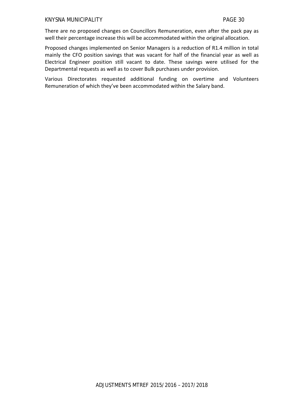There are no proposed changes on Councillors Remuneration, even after the pack pay as well their percentage increase this will be accommodated within the original allocation.

Proposed changes implemented on Senior Managers is a reduction of R1.4 million in total mainly the CFO position savings that was vacant for half of the financial year as well as Electrical Engineer position still vacant to date. These savings were utilised for the Departmental requests as well as to cover Bulk purchases under provision.

Various Directorates requested additional funding on overtime and Volunteers Remuneration of which they've been accommodated within the Salary band.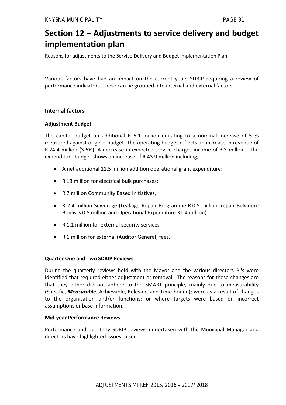## **Section 12 – Adjustments to service delivery and budget implementation plan**

Reasons for adjustments to the Service Delivery and Budget Implementation Plan

Various factors have had an impact on the current years SDBIP requiring a review of performance indicators. These can be grouped into internal and external factors.

#### **Internal factors**

#### **Adjustment Budget**

The capital budget an additional R 5.1 million equating to a nominal increase of 5 % measured against original budget. The operating budget reflects an increase in revenue of R 24.4 million (3.6%). A decrease in expected service charges income of R 3 million. The expenditure budget shows an increase of R 43.9 million including;

- A net additional 11,5 million addition operational grant expenditure;
- R 13 million for electrical bulk purchases;
- R 7 million Community Based Initiatives,
- R 2.4 million Sewerage (Leakage Repair Programme R 0.5 million, repair Belvidere Biodiscs 0.5 million and Operational Expenditure R1.4 million)
- R 1.1 million for external security services
- R 1 million for external (Auditor General) fees.

#### **Quarter One and Two SDBIP Reviews**

During the quarterly reviews held with the Mayor and the various directors PI's were identified that required either adjustment or removal. The reasons for these changes are that they either did not adhere to the SMART principle, mainly due to measurability (Specific, *Measurable*, Achievable, Relevant and Time‐bound); were as a result of changes to the organisation and/or functions; or where targets were based on incorrect assumptions or base information.

#### **Mid‐year Performance Reviews**

Performance and quarterly SDBIP reviews undertaken with the Municipal Manager and directors have highlighted issues raised.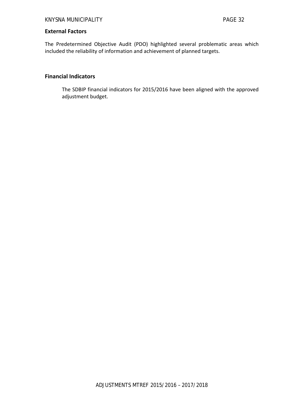#### **External Factors**

The Predetermined Objective Audit (PDO) highlighted several problematic areas which included the reliability of information and achievement of planned targets.

#### **Financial Indicators**

The SDBIP financial indicators for 2015/2016 have been aligned with the approved adjustment budget.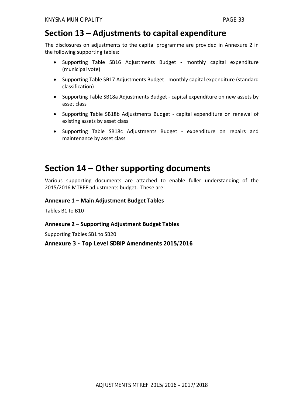## **Section 13 – Adjustments to capital expenditure**

The disclosures on adjustments to the capital programme are provided in Annexure 2 in the following supporting tables:

- Supporting Table SB16 Adjustments Budget ‐ monthly capital expenditure (municipal vote)
- Supporting Table SB17 Adjustments Budget monthly capital expenditure (standard classification)
- Supporting Table SB18a Adjustments Budget capital expenditure on new assets by asset class
- Supporting Table SB18b Adjustments Budget capital expenditure on renewal of existing assets by asset class
- Supporting Table SB18c Adjustments Budget ‐ expenditure on repairs and maintenance by asset class

## **Section 14 – Other supporting documents**

Various supporting documents are attached to enable fuller understanding of the 2015/2016 MTREF adjustments budget. These are:

#### **Annexure 1 – Main Adjustment Budget Tables**

Tables B1 to B10

#### **Annexure 2 – Supporting Adjustment Budget Tables**

Supporting Tables SB1 to SB20

**Annexure 3 - Top Level SDBIP Amendments 2015/2016**